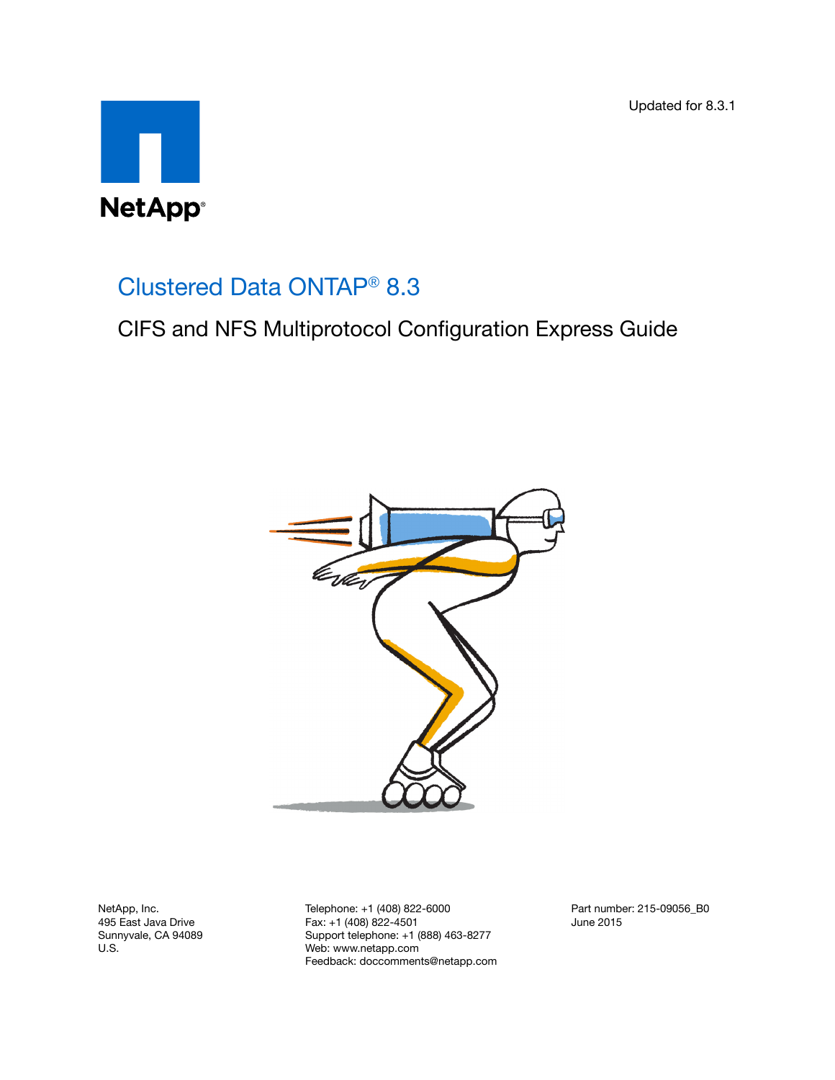Updated for 8.3.1



# Clustered Data ONTAP® 8.3

CIFS and NFS Multiprotocol Configuration Express Guide



NetApp, Inc. 495 East Java Drive Sunnyvale, CA 94089 U.S.

Telephone: +1 (408) 822-6000 Fax: +1 (408) 822-4501 Support telephone: +1 (888) 463-8277 Web: www.netapp.com Feedback: doccomments@netapp.com Part number: 215-09056\_B0 June 2015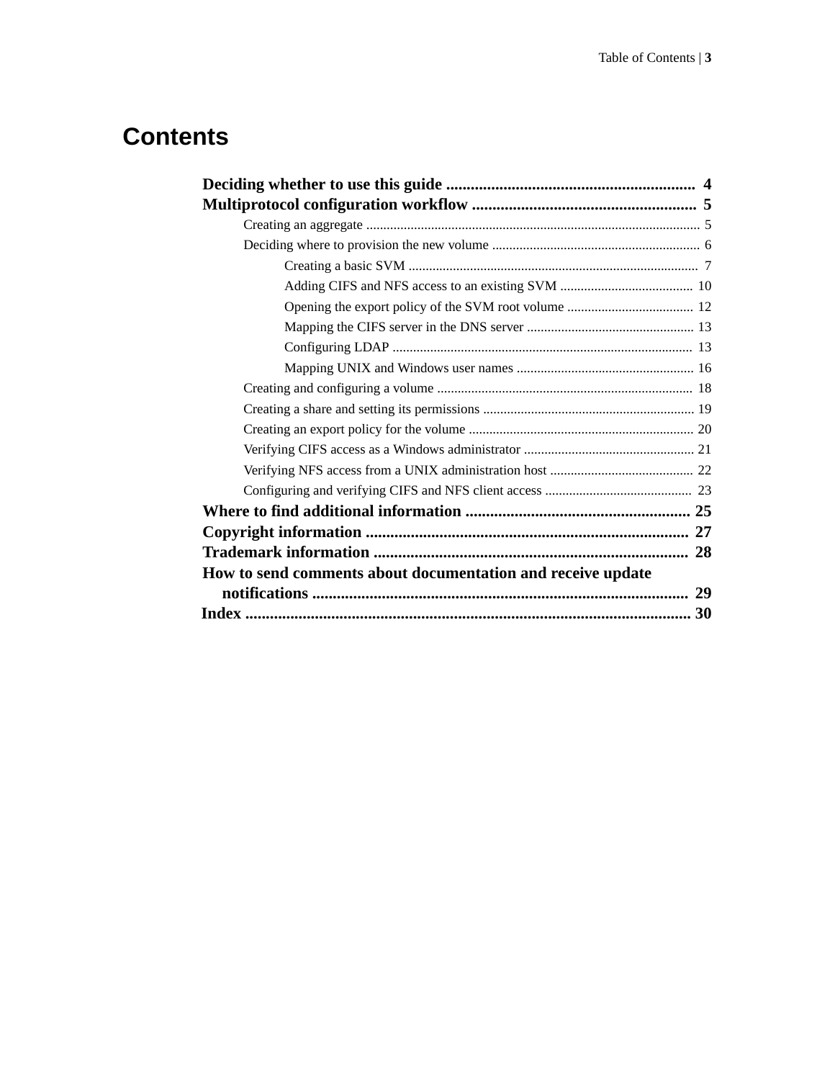# **Contents**

| How to send comments about documentation and receive update |
|-------------------------------------------------------------|
|                                                             |
|                                                             |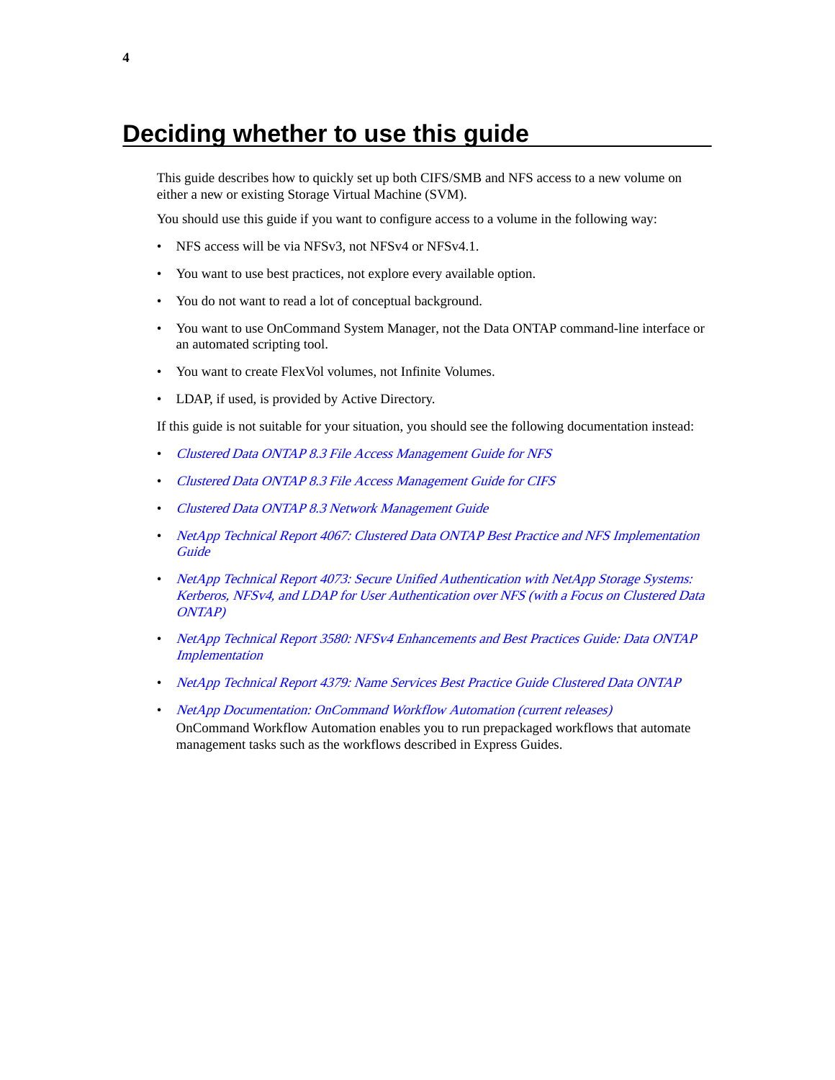# <span id="page-3-0"></span>**Deciding whether to use this guide**

This guide describes how to quickly set up both CIFS/SMB and NFS access to a new volume on either a new or existing Storage Virtual Machine (SVM).

You should use this guide if you want to configure access to a volume in the following way:

- NFS access will be via NFSv3, not NFSv4 or NFSv4.1.
- You want to use best practices, not explore every available option.
- You do not want to read a lot of conceptual background.
- You want to use OnCommand System Manager, not the Data ONTAP command-line interface or an automated scripting tool.
- You want to create FlexVol volumes, not Infinite Volumes.
- LDAP, if used, is provided by Active Directory.

If this guide is not suitable for your situation, you should see the following documentation instead:

- [Clustered Data ONTAP 8.3 File Access Management Guide for NFS](https://library.netapp.com/ecm/ecm_download_file/ECMP1610208)
- [Clustered Data ONTAP 8.3 File Access Management Guide for CIFS](https://library.netapp.com/ecm/ecm_download_file/ECMP1610207)
- [Clustered Data ONTAP 8.3 Network Management Guide](https://library.netapp.com/ecm/ecm_download_file/ECMP1636021)
- [NetApp Technical Report 4067: Clustered Data ONTAP Best Practice and NFS Implementation](http://www.netapp.com/us/media/tr-4067.pdf) **[Guide](http://www.netapp.com/us/media/tr-4067.pdf)**
- [NetApp Technical Report 4073: Secure Unified Authentication with NetApp Storage Systems:](http://www.netapp.com/us/media/tr-4073.pdf) [Kerberos, NFSv4, and LDAP for User Authentication over NFS \(with a Focus on Clustered Data](http://www.netapp.com/us/media/tr-4073.pdf) [ONTAP\)](http://www.netapp.com/us/media/tr-4073.pdf)
- [NetApp Technical Report 3580: NFSv4 Enhancements and Best Practices Guide: Data ONTAP](http://www.netapp.com/us/media/tr-3580.pdf) **[Implementation](http://www.netapp.com/us/media/tr-3580.pdf)**
- [NetApp Technical Report 4379: Name Services Best Practice Guide Clustered Data ONTAP](http://www.netapp.com/us/media/tr-4379.pdf)
- [NetApp Documentation: OnCommand Workflow Automation \(current releases\)](http://mysupport.netapp.com/documentation/productlibrary/index.html?productID=61550) OnCommand Workflow Automation enables you to run prepackaged workflows that automate management tasks such as the workflows described in Express Guides.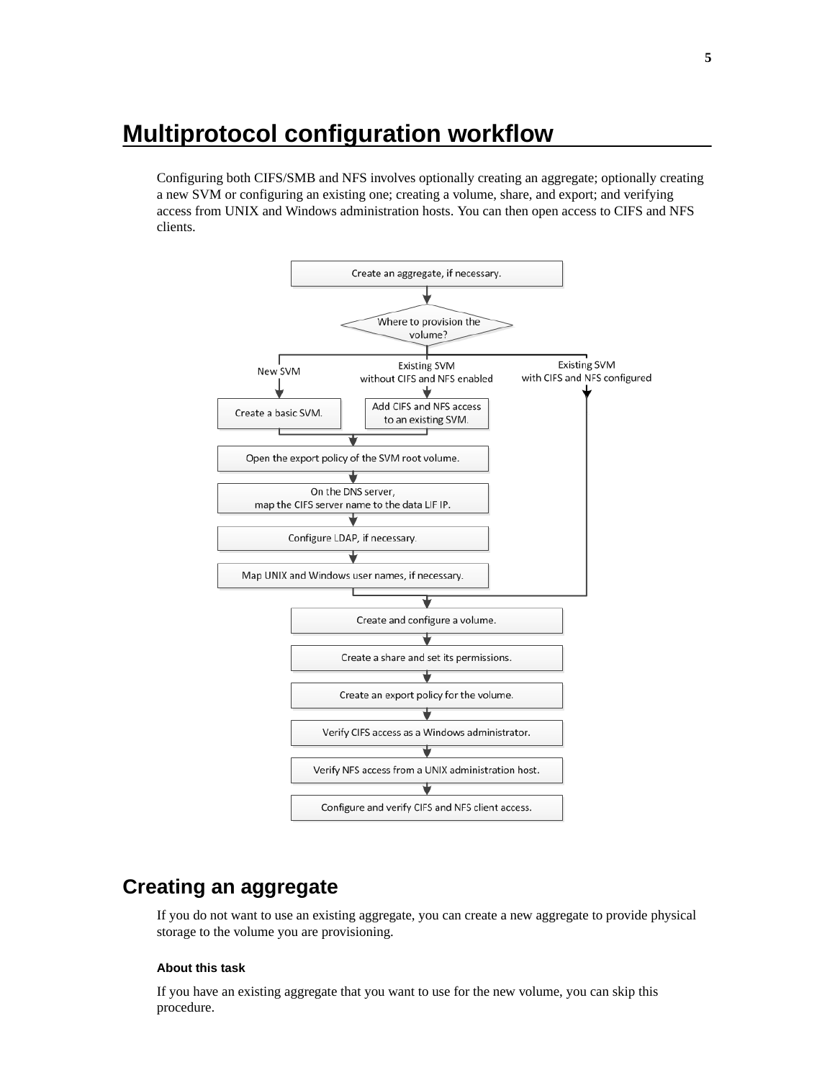# <span id="page-4-0"></span>**Multiprotocol configuration workflow**

Configuring both CIFS/SMB and NFS involves optionally creating an aggregate; optionally creating a new SVM or configuring an existing one; creating a volume, share, and export; and verifying access from UNIX and Windows administration hosts. You can then open access to CIFS and NFS clients.



# **Creating an aggregate**

If you do not want to use an existing aggregate, you can create a new aggregate to provide physical storage to the volume you are provisioning.

#### **About this task**

If you have an existing aggregate that you want to use for the new volume, you can skip this procedure.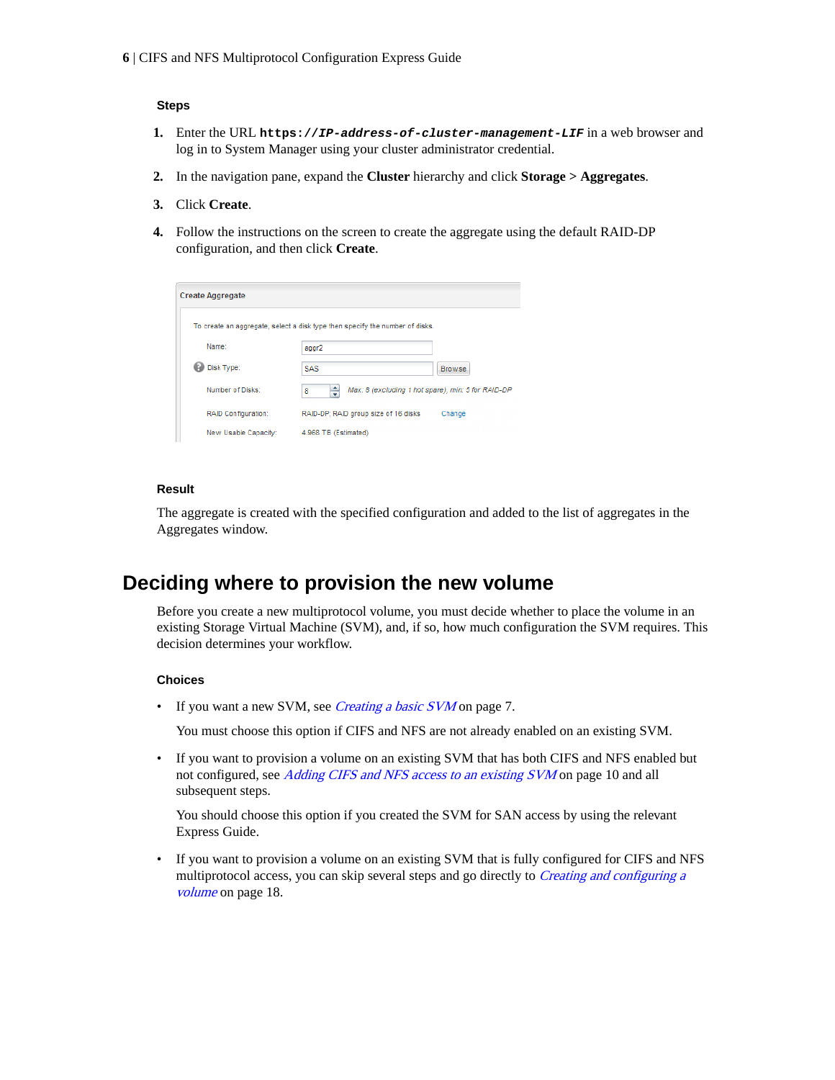#### <span id="page-5-0"></span>**Steps**

- **1.** Enter the URL **https://IP-address-of-cluster-management-LIF** in a web browser and log in to System Manager using your cluster administrator credential.
- **2.** In the navigation pane, expand the **Cluster** hierarchy and click **Storage > Aggregates**.
- **3.** Click **Create**.
- **4.** Follow the instructions on the screen to create the aggregate using the default RAID-DP configuration, and then click **Create**.

| <b>Create Aggregate</b>    |                                                                              |               |
|----------------------------|------------------------------------------------------------------------------|---------------|
|                            | To create an aggregate, select a disk type then specify the number of disks. |               |
| Name:                      | aggr2                                                                        |               |
| Disk Type:                 | <b>SAS</b>                                                                   | <b>Browse</b> |
| Number of Disks:           | ÷<br>Max: 8 (excluding 1 hot spare), min: 5 for RAID-DP<br>8                 |               |
| <b>RAID Configuration:</b> | RAID-DP; RAID group size of 16 disks                                         | Change        |
| New Usable Capacity:       | 4.968 TB (Estimated)                                                         |               |

#### **Result**

The aggregate is created with the specified configuration and added to the list of aggregates in the Aggregates window.

## **Deciding where to provision the new volume**

Before you create a new multiprotocol volume, you must decide whether to place the volume in an existing Storage Virtual Machine (SVM), and, if so, how much configuration the SVM requires. This decision determines your workflow.

#### **Choices**

• If you want a new SVM, see *[Creating a basic SVM](#page-6-0)* on page 7.

You must choose this option if CIFS and NFS are not already enabled on an existing SVM.

• If you want to provision a volume on an existing SVM that has both CIFS and NFS enabled but not configured, see *[Adding CIFS and NFS access to an existing SVM](#page-9-0)* on page 10 and all subsequent steps.

You should choose this option if you created the SVM for SAN access by using the relevant Express Guide.

• If you want to provision a volume on an existing SVM that is fully configured for CIFS and NFS multiprotocol access, you can skip several steps and go directly to *[Creating and configuring a](#page-17-0)* [volume](#page-17-0) on page 18.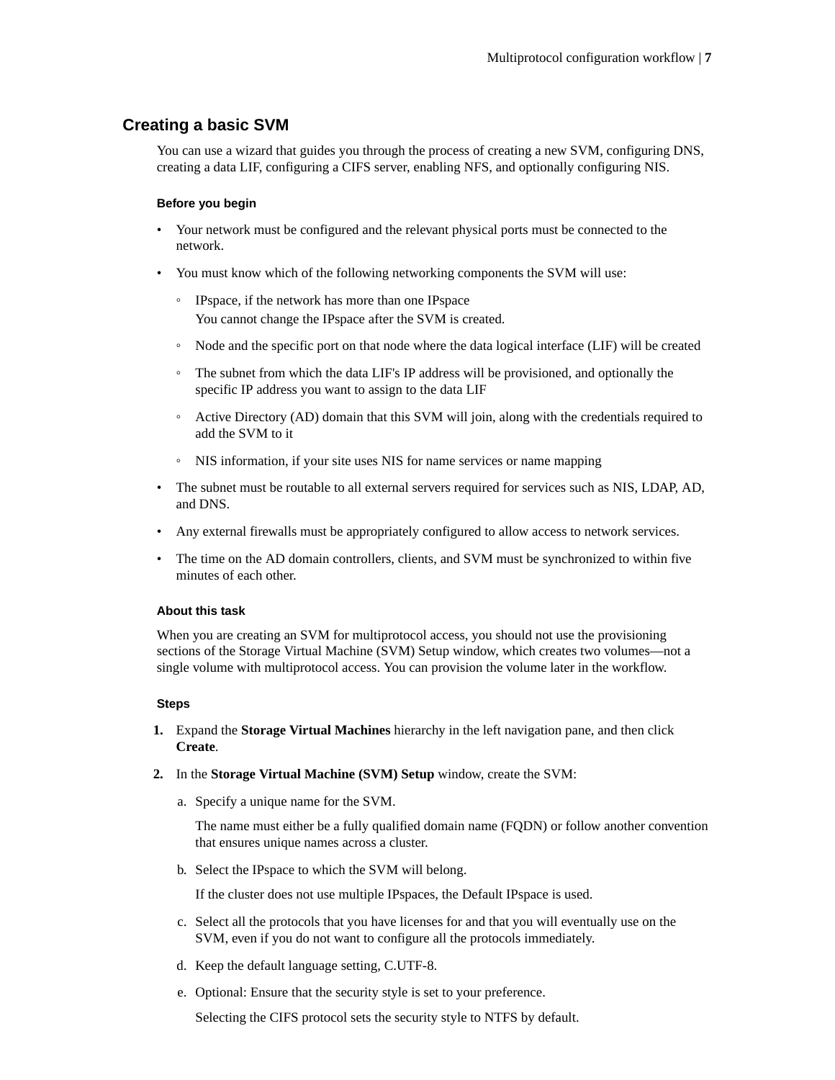## <span id="page-6-0"></span>**Creating a basic SVM**

You can use a wizard that guides you through the process of creating a new SVM, configuring DNS, creating a data LIF, configuring a CIFS server, enabling NFS, and optionally configuring NIS.

#### **Before you begin**

- Your network must be configured and the relevant physical ports must be connected to the network.
- You must know which of the following networking components the SVM will use:
	- IPspace, if the network has more than one IPspace You cannot change the IPspace after the SVM is created.
	- Node and the specific port on that node where the data logical interface (LIF) will be created
	- The subnet from which the data LIF's IP address will be provisioned, and optionally the specific IP address you want to assign to the data LIF
	- Active Directory (AD) domain that this SVM will join, along with the credentials required to add the SVM to it
	- NIS information, if your site uses NIS for name services or name mapping
- The subnet must be routable to all external servers required for services such as NIS, LDAP, AD, and DNS.
- Any external firewalls must be appropriately configured to allow access to network services.
- The time on the AD domain controllers, clients, and SVM must be synchronized to within five minutes of each other.

#### **About this task**

When you are creating an SVM for multiprotocol access, you should not use the provisioning sections of the Storage Virtual Machine (SVM) Setup window, which creates two volumes—not a single volume with multiprotocol access. You can provision the volume later in the workflow.

#### **Steps**

- **1.** Expand the **Storage Virtual Machines** hierarchy in the left navigation pane, and then click **Create**.
- **2.** In the **Storage Virtual Machine (SVM) Setup** window, create the SVM:
	- a. Specify a unique name for the SVM.

The name must either be a fully qualified domain name (FQDN) or follow another convention that ensures unique names across a cluster.

b. Select the IPspace to which the SVM will belong.

If the cluster does not use multiple IPspaces, the Default IPspace is used.

- c. Select all the protocols that you have licenses for and that you will eventually use on the SVM, even if you do not want to configure all the protocols immediately.
- d. Keep the default language setting, C.UTF-8.
- e. Optional: Ensure that the security style is set to your preference.

Selecting the CIFS protocol sets the security style to NTFS by default.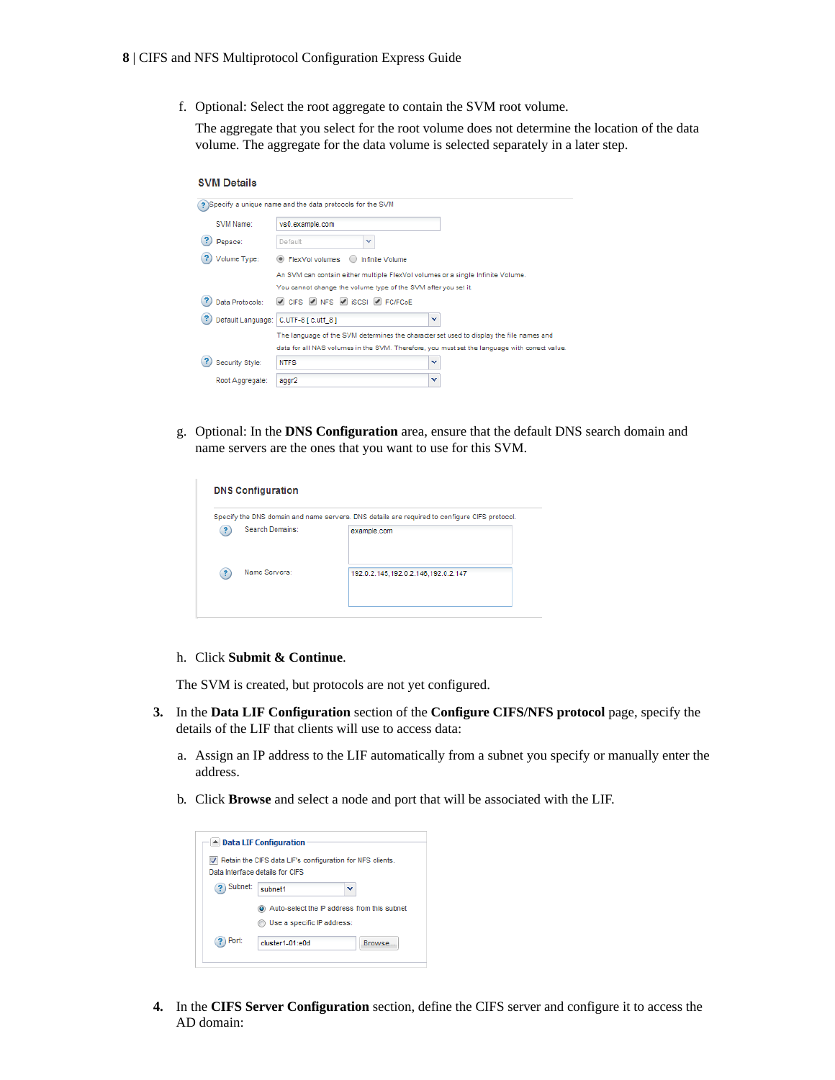f. Optional: Select the root aggregate to contain the SVM root volume.

The aggregate that you select for the root volume does not determine the location of the data volume. The aggregate for the data volume is selected separately in a later step.

#### **SVM Details**

| ? Specify a unique name and the data protocols for the SVM<br>SVM Name:<br>vs0.example.com<br><b>IPspace:</b><br>Default<br>$\checkmark$<br>Volume Type:<br>● FlexVol volumes<br>Infinite Volume<br>An SVM can contain either multiple FlexVol volumes or a single Infinite Volume.<br>You cannot change the volume type of the SVM after you set it.<br>V CIFS V NFS V ISCSI V FC/FCoE<br>Data Protocols:<br>Default Language: C.UTF-8 [c.utf_8]<br>v<br>The language of the SVM determines the character set used to display the file names and<br>data for all NAS volumes in the SVM. Therefore, you must set the language with correct value.<br>Security Style:<br><b>NTFS</b><br>v<br>v<br>Root Aggregate:<br>aggr2 |  |  |
|----------------------------------------------------------------------------------------------------------------------------------------------------------------------------------------------------------------------------------------------------------------------------------------------------------------------------------------------------------------------------------------------------------------------------------------------------------------------------------------------------------------------------------------------------------------------------------------------------------------------------------------------------------------------------------------------------------------------------|--|--|
|                                                                                                                                                                                                                                                                                                                                                                                                                                                                                                                                                                                                                                                                                                                            |  |  |
|                                                                                                                                                                                                                                                                                                                                                                                                                                                                                                                                                                                                                                                                                                                            |  |  |
|                                                                                                                                                                                                                                                                                                                                                                                                                                                                                                                                                                                                                                                                                                                            |  |  |
|                                                                                                                                                                                                                                                                                                                                                                                                                                                                                                                                                                                                                                                                                                                            |  |  |
|                                                                                                                                                                                                                                                                                                                                                                                                                                                                                                                                                                                                                                                                                                                            |  |  |
|                                                                                                                                                                                                                                                                                                                                                                                                                                                                                                                                                                                                                                                                                                                            |  |  |
|                                                                                                                                                                                                                                                                                                                                                                                                                                                                                                                                                                                                                                                                                                                            |  |  |
|                                                                                                                                                                                                                                                                                                                                                                                                                                                                                                                                                                                                                                                                                                                            |  |  |
|                                                                                                                                                                                                                                                                                                                                                                                                                                                                                                                                                                                                                                                                                                                            |  |  |
|                                                                                                                                                                                                                                                                                                                                                                                                                                                                                                                                                                                                                                                                                                                            |  |  |
|                                                                                                                                                                                                                                                                                                                                                                                                                                                                                                                                                                                                                                                                                                                            |  |  |
|                                                                                                                                                                                                                                                                                                                                                                                                                                                                                                                                                                                                                                                                                                                            |  |  |

g. Optional: In the **DNS Configuration** area, ensure that the default DNS search domain and name servers are the ones that you want to use for this SVM.

|     |                 | Specify the DNS domain and name servers. DNS details are required to configure CIFS protocol. |
|-----|-----------------|-----------------------------------------------------------------------------------------------|
| (2) | Search Domains: | example.com                                                                                   |
| 2   | Name Servers:   | 192.0.2.145,192.0.2.146,192.0.2.147                                                           |

#### h. Click **Submit & Continue**.

The SVM is created, but protocols are not yet configured.

- **3.** In the **Data LIF Configuration** section of the **Configure CIFS/NFS protocol** page, specify the details of the LIF that clients will use to access data:
	- a. Assign an IP address to the LIF automatically from a subnet you specify or manually enter the address.
	- b. Click **Browse** and select a node and port that will be associated with the LIF.

|         | ▲ Data LIF Configuration                                                                       |         |
|---------|------------------------------------------------------------------------------------------------|---------|
|         | V Retain the CIFS data LIF's configuration for NFS clients.<br>Data Interface details for CIES |         |
| Subnet: | subnet1                                                                                        | w       |
|         | Auto-select the IP address from this subnet<br>Use a specific IP address:                      |         |
| Port:   | cluster1-01:e0d                                                                                | Browse. |

**4.** In the **CIFS Server Configuration** section, define the CIFS server and configure it to access the AD domain: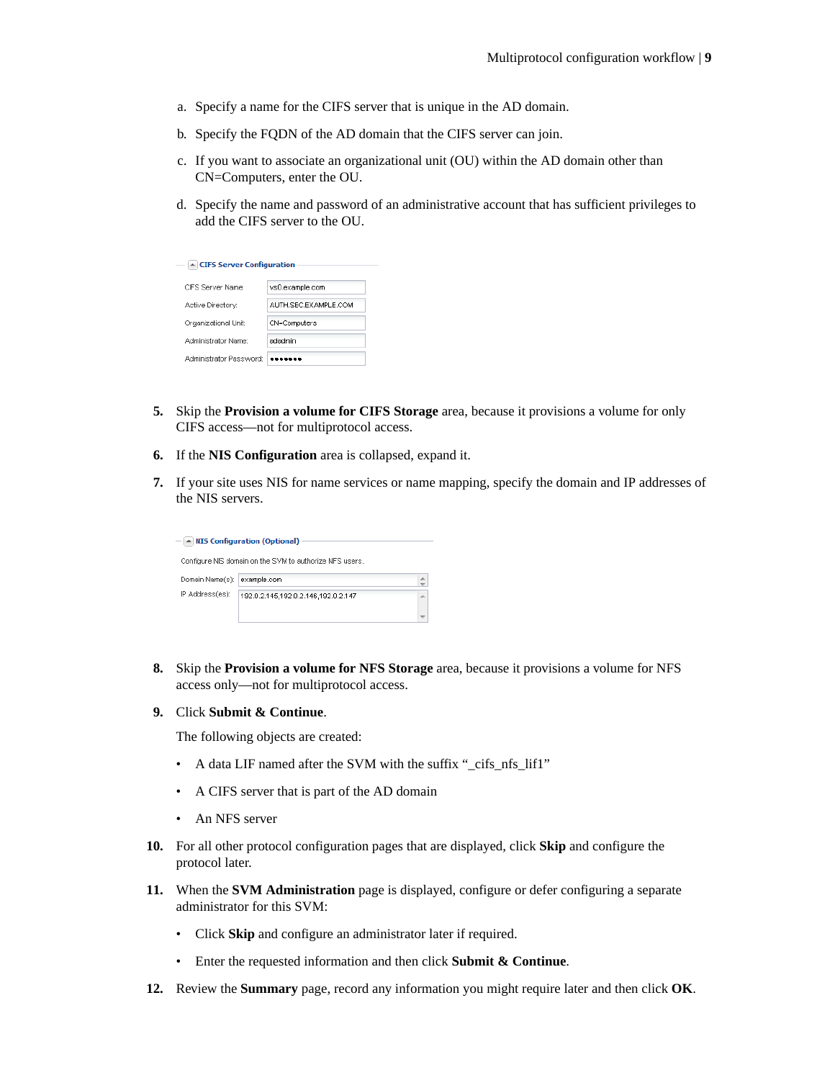- a. Specify a name for the CIFS server that is unique in the AD domain.
- b. Specify the FQDN of the AD domain that the CIFS server can join.
- c. If you want to associate an organizational unit (OU) within the AD domain other than CN=Computers, enter the OU.
- d. Specify the name and password of an administrative account that has sufficient privileges to add the CIFS server to the OU.

| $\triangle$ CIFS Server Configuration |                       |
|---------------------------------------|-----------------------|
| CIES Server Name:                     | vs0.example.com       |
| Active Directory:                     | ALITH SEC EXAMPLE COM |
| Organizational Unit:                  | CN=Computers          |
| Administrator Name:                   | adadmin               |
| Administrator Password:               |                       |

- **5.** Skip the **Provision a volume for CIFS Storage** area, because it provisions a volume for only CIFS access—not for multiprotocol access.
- **6.** If the **NIS Configuration** area is collapsed, expand it.
- **7.** If your site uses NIS for name services or name mapping, specify the domain and IP addresses of the NIS servers.

|                 | $ \sim$ NIS Configuration (Optional)                    |   |
|-----------------|---------------------------------------------------------|---|
|                 | Configure NIS domain on the SVM to authorize NFS users. |   |
| Domain Name(s): | example.com                                             | 业 |
| IP Address(es): | 192.0.2.145.192.0.2.146.192.0.2.147                     | ▲ |
|                 |                                                         |   |

- **8.** Skip the **Provision a volume for NFS Storage** area, because it provisions a volume for NFS access only—not for multiprotocol access.
- **9.** Click **Submit & Continue**.

The following objects are created:

- A data LIF named after the SVM with the suffix "\_cifs\_nfs\_lif1"
- A CIFS server that is part of the AD domain
- An NFS server
- **10.** For all other protocol configuration pages that are displayed, click **Skip** and configure the protocol later.
- **11.** When the **SVM Administration** page is displayed, configure or defer configuring a separate administrator for this SVM:
	- Click **Skip** and configure an administrator later if required.
	- Enter the requested information and then click **Submit & Continue**.
- **12.** Review the **Summary** page, record any information you might require later and then click **OK**.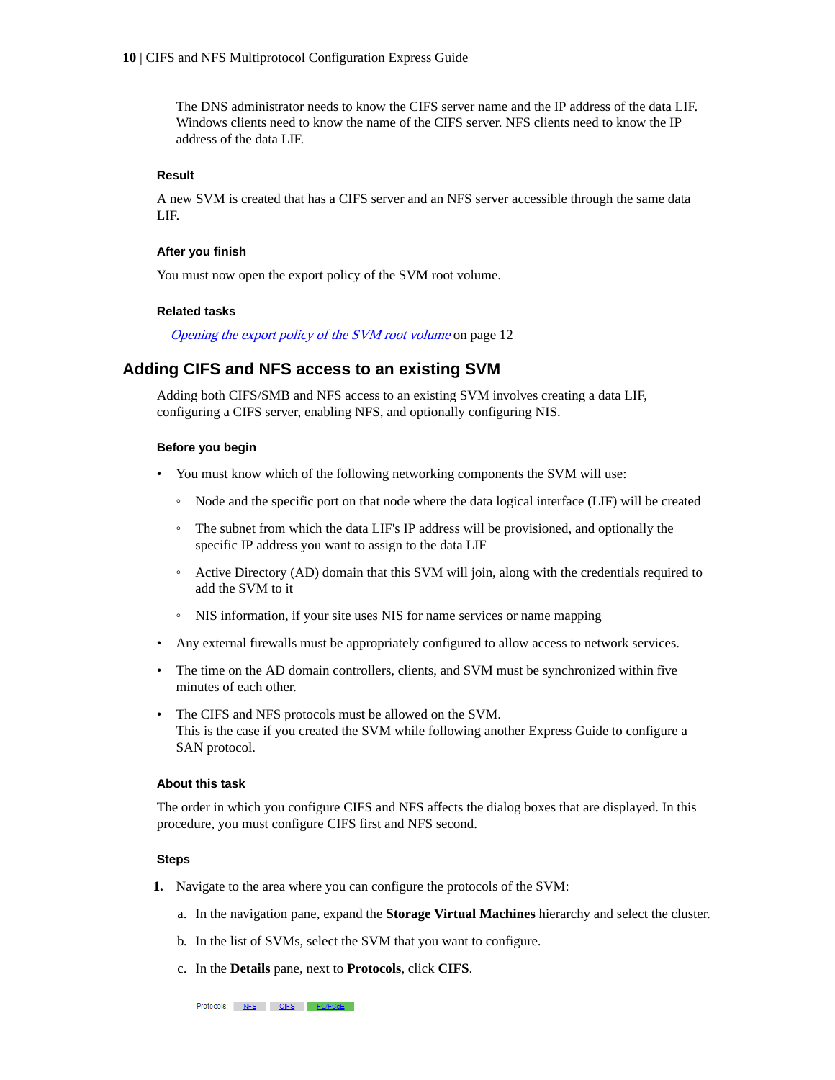<span id="page-9-0"></span>The DNS administrator needs to know the CIFS server name and the IP address of the data LIF. Windows clients need to know the name of the CIFS server. NFS clients need to know the IP address of the data LIF.

#### **Result**

A new SVM is created that has a CIFS server and an NFS server accessible through the same data LIF.

#### **After you finish**

You must now open the export policy of the SVM root volume.

#### **Related tasks**

[Opening the export policy of the SVM root volume](#page-11-0) on page 12

### **Adding CIFS and NFS access to an existing SVM**

Adding both CIFS/SMB and NFS access to an existing SVM involves creating a data LIF, configuring a CIFS server, enabling NFS, and optionally configuring NIS.

#### **Before you begin**

- You must know which of the following networking components the SVM will use:
	- Node and the specific port on that node where the data logical interface (LIF) will be created
	- The subnet from which the data LIF's IP address will be provisioned, and optionally the specific IP address you want to assign to the data LIF
	- Active Directory (AD) domain that this SVM will join, along with the credentials required to add the SVM to it
	- NIS information, if your site uses NIS for name services or name mapping
- Any external firewalls must be appropriately configured to allow access to network services.
- The time on the AD domain controllers, clients, and SVM must be synchronized within five minutes of each other.
- The CIFS and NFS protocols must be allowed on the SVM. This is the case if you created the SVM while following another Express Guide to configure a SAN protocol.

#### **About this task**

The order in which you configure CIFS and NFS affects the dialog boxes that are displayed. In this procedure, you must configure CIFS first and NFS second.

#### **Steps**

- **1.** Navigate to the area where you can configure the protocols of the SVM:
	- a. In the navigation pane, expand the **Storage Virtual Machines** hierarchy and select the cluster.
	- b. In the list of SVMs, select the SVM that you want to configure.
	- c. In the **Details** pane, next to **Protocols**, click **CIFS**.

Protocols: NFS CIFS FO/FCoE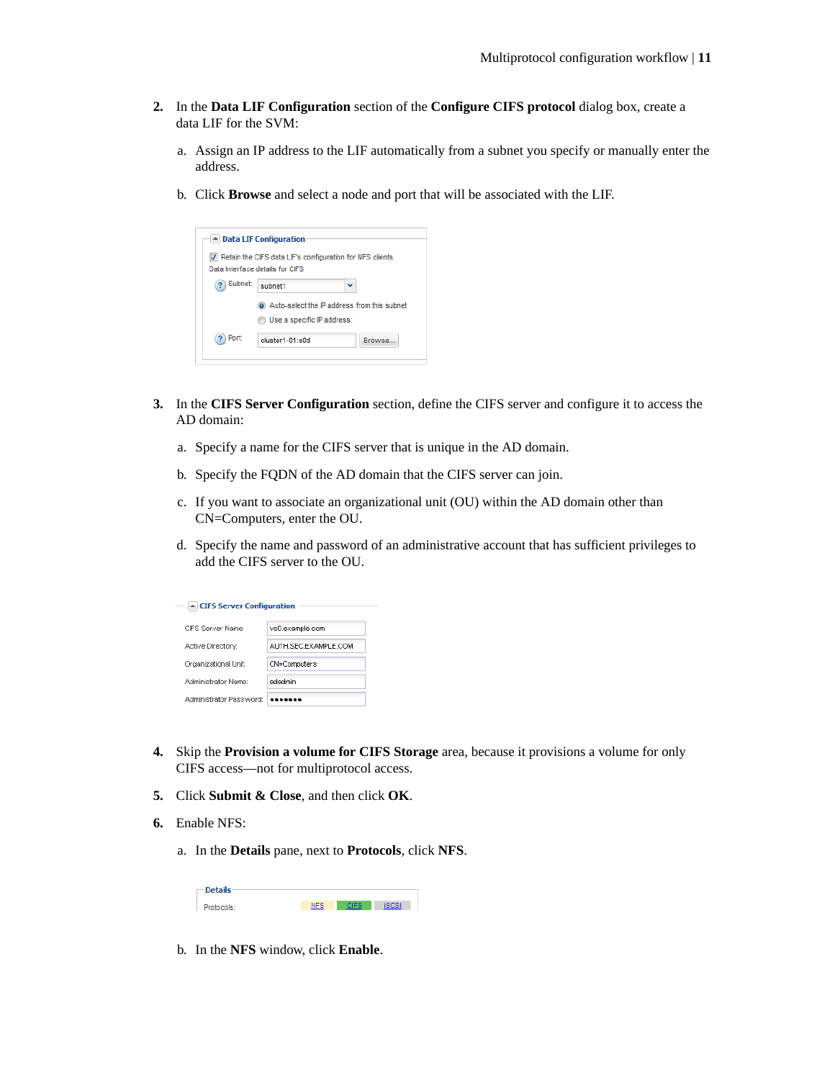- **2.** In the **Data LIF Configuration** section of the **Configure CIFS protocol** dialog box, create a data LIF for the SVM:
	- a. Assign an IP address to the LIF automatically from a subnet you specify or manually enter the address.
	- b. Click **Browse** and select a node and port that will be associated with the LIF.

|         | ▲ Data LIF Configuration                                                                       |         |
|---------|------------------------------------------------------------------------------------------------|---------|
|         | V Retain the CIFS data LIF's configuration for NFS clients.<br>Data Interface details for CIES |         |
| Subnet: | subnet1                                                                                        |         |
|         | Auto-select the IP address from this subnet<br>Use a specific IP address:                      |         |
| Port:   | cluster1-01:e0d                                                                                | Browse. |

- **3.** In the **CIFS Server Configuration** section, define the CIFS server and configure it to access the AD domain:
	- a. Specify a name for the CIFS server that is unique in the AD domain.
	- b. Specify the FQDN of the AD domain that the CIFS server can join.
	- c. If you want to associate an organizational unit (OU) within the AD domain other than CN=Computers, enter the OU.
	- d. Specify the name and password of an administrative account that has sufficient privileges to add the CIFS server to the OU.

| ▲ CIFS Server Configuration |                      |
|-----------------------------|----------------------|
| CIES Server Name:           | vs0.example.com      |
| Active Directory:           | AUTH SEC EXAMPLE COM |
| Organizational Unit:        | CN=Computers         |
| Administrator Name:         | adadmin              |
| Administrator Password:     |                      |

- **4.** Skip the **Provision a volume for CIFS Storage** area, because it provisions a volume for only CIFS access—not for multiprotocol access.
- **5.** Click **Submit & Close**, and then click **OK**.
- **6.** Enable NFS:
	- a. In the **Details** pane, next to **Protocols**, click **NFS**.

| - Details |  |  |
|-----------|--|--|
| matocols: |  |  |

b. In the **NFS** window, click **Enable**.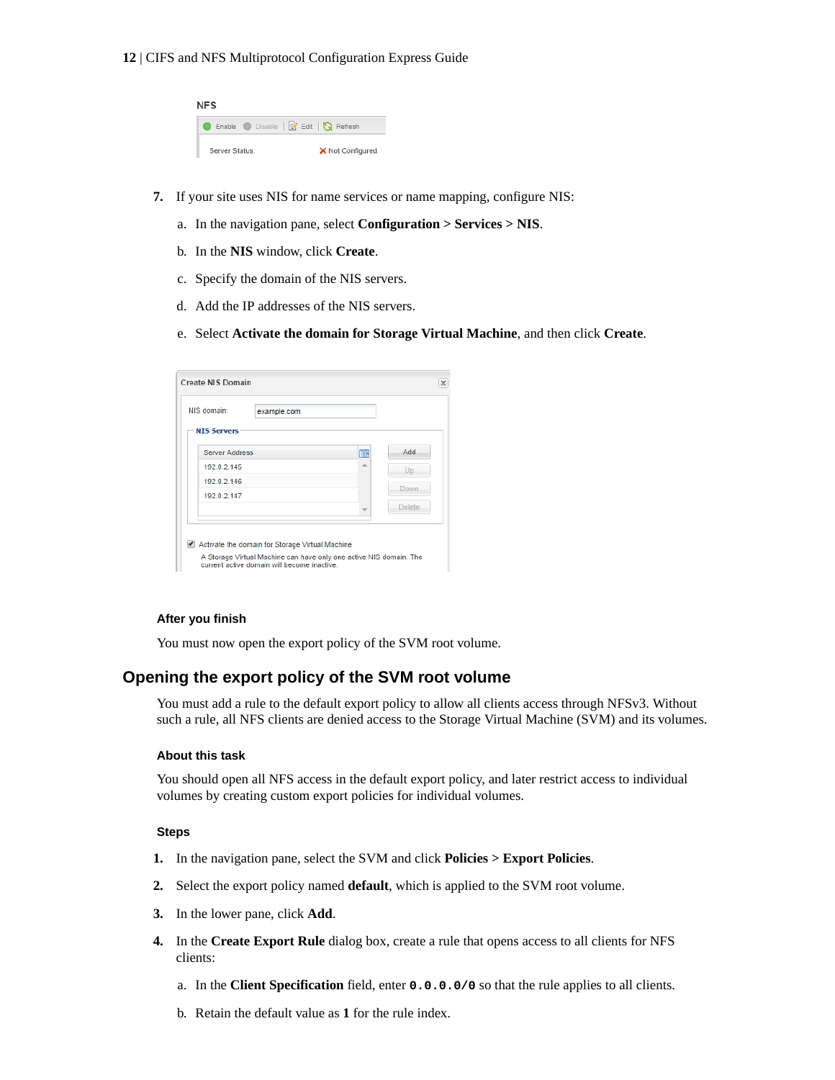#### <span id="page-11-0"></span>**12** | CIFS and NFS Multiprotocol Configuration Express Guide

| <b>NFS</b>                        |                  |
|-----------------------------------|------------------|
| Enable Disable   Z Edit   Refresh |                  |
| Server Status:                    | X Not Configured |

- **7.** If your site uses NIS for name services or name mapping, configure NIS:
	- a. In the navigation pane, select **Configuration > Services > NIS**.
	- b. In the **NIS** window, click **Create**.
	- c. Specify the domain of the NIS servers.
	- d. Add the IP addresses of the NIS servers.
	- e. Select **Activate the domain for Storage Virtual Machine**, and then click **Create**.

| NIS domain:           | example.com |   |        |
|-----------------------|-------------|---|--------|
| <b>NIS Servers</b>    |             |   |        |
| <b>Server Address</b> |             | Ⅲ | Add.   |
| 192.0.2.145           |             | 业 | Up     |
| 192.0.2.146           |             |   | Down.  |
| 192 0 2 147           |             |   |        |
|                       |             |   | Delete |

#### **After you finish**

You must now open the export policy of the SVM root volume.

## **Opening the export policy of the SVM root volume**

You must add a rule to the default export policy to allow all clients access through NFSv3. Without such a rule, all NFS clients are denied access to the Storage Virtual Machine (SVM) and its volumes.

#### **About this task**

You should open all NFS access in the default export policy, and later restrict access to individual volumes by creating custom export policies for individual volumes.

#### **Steps**

- **1.** In the navigation pane, select the SVM and click **Policies > Export Policies**.
- **2.** Select the export policy named **default**, which is applied to the SVM root volume.
- **3.** In the lower pane, click **Add**.
- **4.** In the **Create Export Rule** dialog box, create a rule that opens access to all clients for NFS clients:
	- a. In the **Client Specification** field, enter **0.0.0.0/0** so that the rule applies to all clients.
	- b. Retain the default value as **1** for the rule index.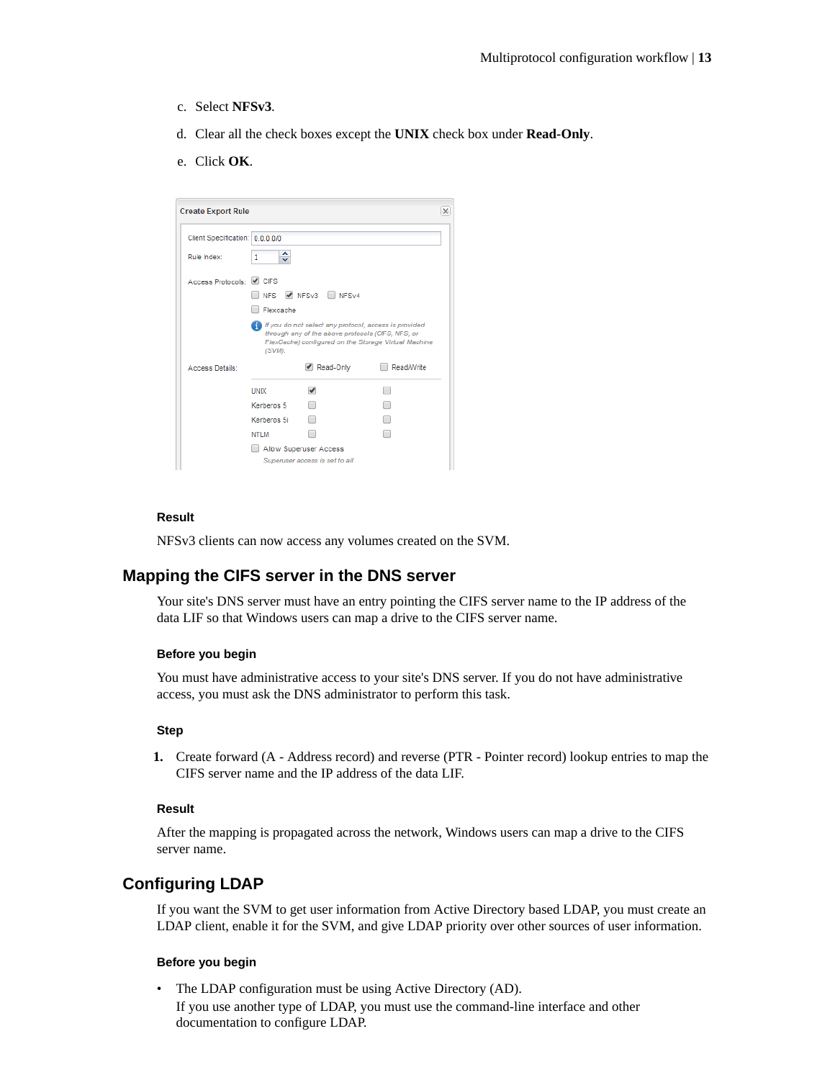- <span id="page-12-0"></span>c. Select **NFSv3**.
- d. Clear all the check boxes except the **UNIX** check box under **Read-Only**.
- e. Click **OK**.

| <b>Create Export Rule</b>       |                              |                                                                                                            |                                                      | х |
|---------------------------------|------------------------------|------------------------------------------------------------------------------------------------------------|------------------------------------------------------|---|
| Client Specification: 0.0.0.0/0 |                              |                                                                                                            |                                                      |   |
| Rule Index:                     | 1<br>$\overline{\mathbf{v}}$ |                                                                                                            |                                                      |   |
| Access Protocols: CIFS          |                              |                                                                                                            |                                                      |   |
|                                 | <b>NFS</b>                   | M NFSv3 NFSv4                                                                                              |                                                      |   |
|                                 | Flexcache                    |                                                                                                            |                                                      |   |
|                                 | (SVM).                       | If you do not select any protocol, access is provided<br>through any of the above protocols (CIFS, NFS, or | FlexCache) configured on the Storage Virtual Machine |   |
| <b>Access Details:</b>          |                              | Read-Only                                                                                                  | Read/Write                                           |   |
|                                 | <b>UNIX</b>                  | $\overline{\mathcal{L}}$                                                                                   |                                                      |   |
|                                 | Kerberos 5                   |                                                                                                            |                                                      |   |
|                                 | Kerberos 5i                  |                                                                                                            |                                                      |   |
|                                 | NTI M                        |                                                                                                            |                                                      |   |
|                                 |                              | Allow Superuser Access                                                                                     |                                                      |   |
|                                 |                              | Superuser access is set to all                                                                             |                                                      |   |

#### **Result**

NFSv3 clients can now access any volumes created on the SVM.

### **Mapping the CIFS server in the DNS server**

Your site's DNS server must have an entry pointing the CIFS server name to the IP address of the data LIF so that Windows users can map a drive to the CIFS server name.

#### **Before you begin**

You must have administrative access to your site's DNS server. If you do not have administrative access, you must ask the DNS administrator to perform this task.

#### **Step**

**1.** Create forward (A - Address record) and reverse (PTR - Pointer record) lookup entries to map the CIFS server name and the IP address of the data LIF.

### **Result**

After the mapping is propagated across the network, Windows users can map a drive to the CIFS server name.

## **Configuring LDAP**

If you want the SVM to get user information from Active Directory based LDAP, you must create an LDAP client, enable it for the SVM, and give LDAP priority over other sources of user information.

#### **Before you begin**

• The LDAP configuration must be using Active Directory (AD). If you use another type of LDAP, you must use the command-line interface and other documentation to configure LDAP.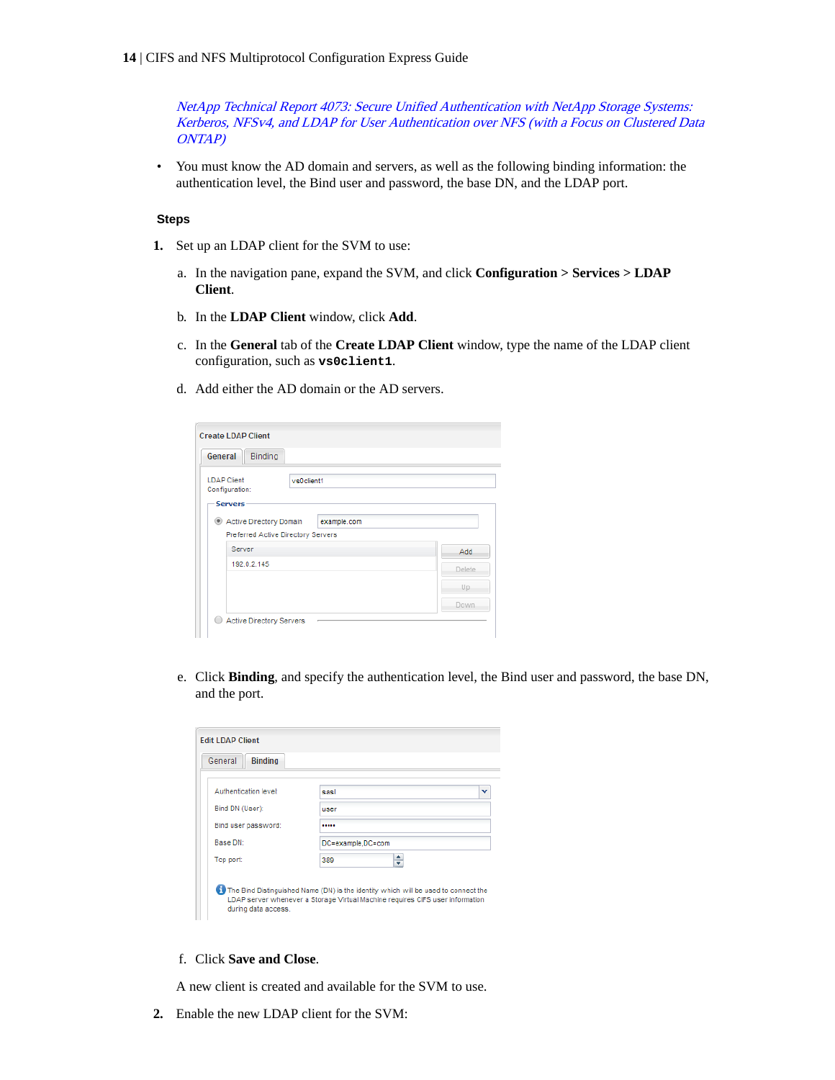[NetApp Technical Report 4073: Secure Unified Authentication with NetApp Storage Systems:](http://www.netapp.com/us/media/tr-4073.pdf) [Kerberos, NFSv4, and LDAP for User Authentication over NFS \(with a Focus on Clustered Data](http://www.netapp.com/us/media/tr-4073.pdf) [ONTAP\)](http://www.netapp.com/us/media/tr-4073.pdf)

• You must know the AD domain and servers, as well as the following binding information: the authentication level, the Bind user and password, the base DN, and the LDAP port.

#### **Steps**

- **1.** Set up an LDAP client for the SVM to use:
	- a. In the navigation pane, expand the SVM, and click **Configuration > Services > LDAP Client**.
	- b. In the **LDAP Client** window, click **Add**.
	- c. In the **General** tab of the **Create LDAP Client** window, type the name of the LDAP client configuration, such as **vs0client1**.
	- d. Add either the AD domain or the AD servers.

| General                                                | Binding                                                                      |            |
|--------------------------------------------------------|------------------------------------------------------------------------------|------------|
| <b>LDAP Client</b><br>Configuration:<br><b>Servers</b> | vs0client1                                                                   |            |
|                                                        | Active Directory Domain<br>example.com<br>Preferred Active Directory Servers |            |
|                                                        | Server                                                                       | <b>Add</b> |
|                                                        | 192.0.2.145                                                                  | Delete.    |
|                                                        |                                                                              | Up.        |
|                                                        |                                                                              | Down.      |

e. Click **Binding**, and specify the authentication level, the Bind user and password, the base DN, and the port.

| Authentication level: | sasl              | v |
|-----------------------|-------------------|---|
| Bind DN (User):       | user              |   |
| Bind user password:   |                   |   |
| Base DN:              | DC=example,DC=com |   |
| Top port:             | 389               |   |

f. Click **Save and Close**.

A new client is created and available for the SVM to use.

**2.** Enable the new LDAP client for the SVM: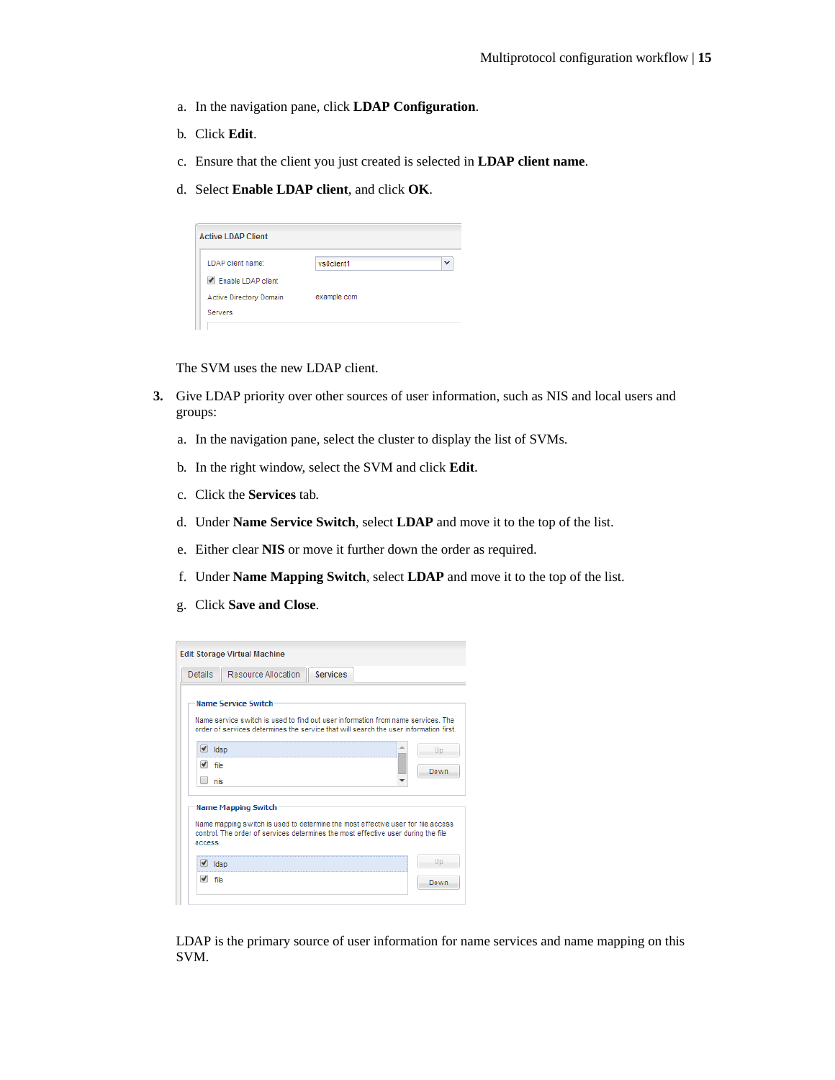- a. In the navigation pane, click **LDAP Configuration**.
- b. Click **Edit**.
- c. Ensure that the client you just created is selected in **LDAP client name**.
- d. Select **Enable LDAP client**, and click **OK**.

| <b>Active LDAP Client</b> |             |   |
|---------------------------|-------------|---|
| LDAP client name:         | vs0client1  | v |
| Enable LDAP client        |             |   |
| Active Directory Domain   | example.com |   |
| <b>Servers</b>            |             |   |

The SVM uses the new LDAP client.

- **3.** Give LDAP priority over other sources of user information, such as NIS and local users and groups:
	- a. In the navigation pane, select the cluster to display the list of SVMs.
	- b. In the right window, select the SVM and click **Edit**.
	- c. Click the **Services** tab.
	- d. Under **Name Service Switch**, select **LDAP** and move it to the top of the list.
	- e. Either clear **NIS** or move it further down the order as required.
	- f. Under **Name Mapping Switch**, select **LDAP** and move it to the top of the list.
	- g. Click **Save and Close**.

|                     | <b>Edit Storage Virtual Machine</b>                                                                                                                                                                         |                 |             |
|---------------------|-------------------------------------------------------------------------------------------------------------------------------------------------------------------------------------------------------------|-----------------|-------------|
| <b>Details</b>      | Resource Allocation                                                                                                                                                                                         | <b>Services</b> |             |
|                     | <b>Name Service Switch</b><br>Name service switch is used to find out user information from name services. The<br>order of services determines the service that will search the user information first.     |                 |             |
| Idap<br>file<br>nis |                                                                                                                                                                                                             |                 | Up.<br>Down |
| access.             | <b>Name Mapping Switch</b><br>Name mapping switch is used to determine the most effective user for file access<br>control. The order of services determines the most effective user during the file<br>Idap |                 | Up.         |
| file                |                                                                                                                                                                                                             |                 | Down        |

LDAP is the primary source of user information for name services and name mapping on this SVM.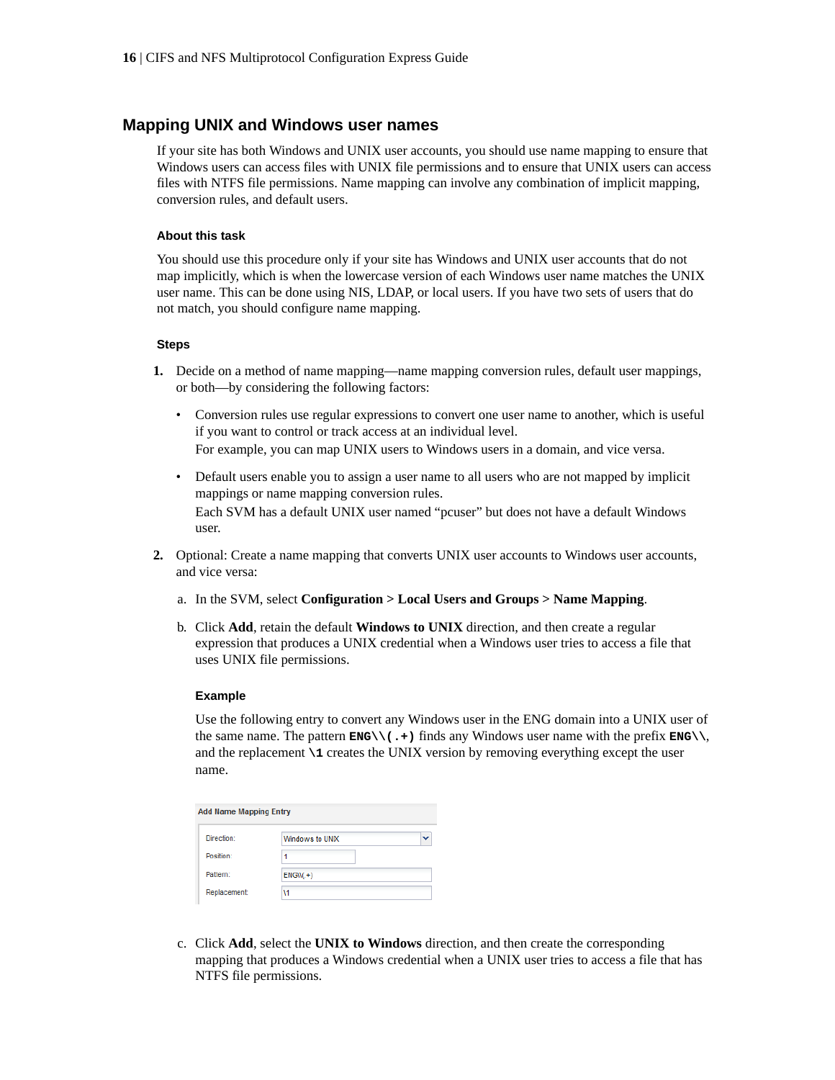## <span id="page-15-0"></span>**Mapping UNIX and Windows user names**

If your site has both Windows and UNIX user accounts, you should use name mapping to ensure that Windows users can access files with UNIX file permissions and to ensure that UNIX users can access files with NTFS file permissions. Name mapping can involve any combination of implicit mapping, conversion rules, and default users.

#### **About this task**

You should use this procedure only if your site has Windows and UNIX user accounts that do not map implicitly, which is when the lowercase version of each Windows user name matches the UNIX user name. This can be done using NIS, LDAP, or local users. If you have two sets of users that do not match, you should configure name mapping.

#### **Steps**

- **1.** Decide on a method of name mapping—name mapping conversion rules, default user mappings, or both—by considering the following factors:
	- Conversion rules use regular expressions to convert one user name to another, which is useful if you want to control or track access at an individual level. For example, you can map UNIX users to Windows users in a domain, and vice versa.
	- Default users enable you to assign a user name to all users who are not mapped by implicit mappings or name mapping conversion rules. Each SVM has a default UNIX user named "pcuser" but does not have a default Windows user.
- **2.** Optional: Create a name mapping that converts UNIX user accounts to Windows user accounts, and vice versa:
	- a. In the SVM, select **Configuration > Local Users and Groups > Name Mapping**.
	- b. Click **Add**, retain the default **Windows to UNIX** direction, and then create a regular expression that produces a UNIX credential when a Windows user tries to access a file that uses UNIX file permissions.

#### **Example**

Use the following entry to convert any Windows user in the ENG domain into a UNIX user of the same name. The pattern  $\text{EMG}\setminus\setminus$ . +  $\big)$  finds any Windows user name with the prefix  $\text{EMG}\setminus\setminus$ , and the replacement **\1** creates the UNIX version by removing everything except the user name.

| <b>Add Name Mapping Entry</b> |                 |  |
|-------------------------------|-----------------|--|
| Direction:                    | Windows to UNIX |  |
| Position:                     | 1               |  |
| Pattern:                      | $ENGW(+)$       |  |
| Replacement:                  | ١1              |  |

c. Click **Add**, select the **UNIX to Windows** direction, and then create the corresponding mapping that produces a Windows credential when a UNIX user tries to access a file that has NTFS file permissions.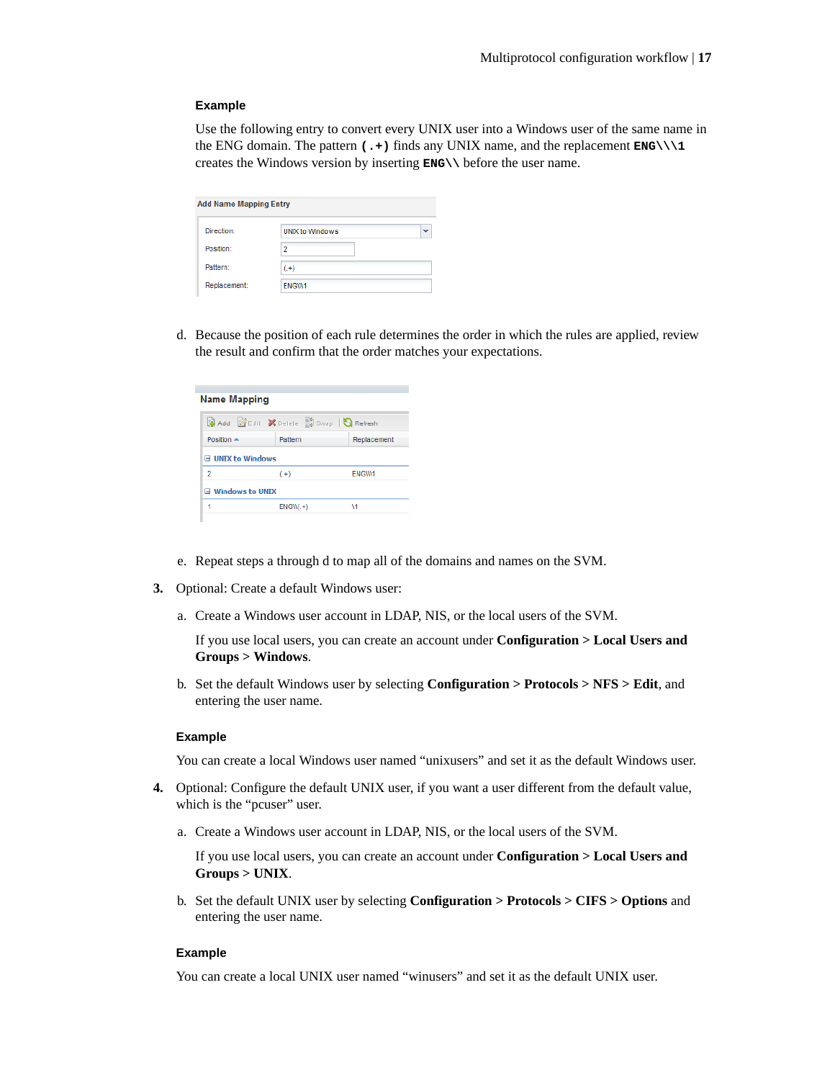#### **Example**

Use the following entry to convert every UNIX user into a Windows user of the same name in the ENG domain. The pattern **(.+)** finds any UNIX name, and the replacement **ENG\\\1** creates the Windows version by inserting **ENG\\** before the user name.

| <b>Add Name Mapping Entry</b> |                        |  |
|-------------------------------|------------------------|--|
| Direction:                    | <b>UNIX to Windows</b> |  |
| Position:                     | $\overline{2}$         |  |
| Pattern:                      | $( . + )$              |  |
| Replacement:                  | ENGW1                  |  |

d. Because the position of each rule determines the order in which the rules are applied, review the result and confirm that the order matches your expectations.

| Name Mapping             |                           |              |
|--------------------------|---------------------------|--------------|
|                          | <b>Refresh</b><br>Refresh |              |
| Position $\triangle$     | Pattern                   | Replacement  |
| <b>■ UNIX to Windows</b> |                           |              |
| 2                        | $(+)$                     | <b>FNGW1</b> |
| □ Windows to UNIX        |                           |              |
|                          | $ENGW(+)$                 | ١1           |
|                          |                           |              |

- e. Repeat steps a through d to map all of the domains and names on the SVM.
- **3.** Optional: Create a default Windows user:
	- a. Create a Windows user account in LDAP, NIS, or the local users of the SVM.

If you use local users, you can create an account under **Configuration > Local Users and Groups > Windows**.

b. Set the default Windows user by selecting **Configuration > Protocols > NFS > Edit**, and entering the user name.

#### **Example**

You can create a local Windows user named "unixusers" and set it as the default Windows user.

- **4.** Optional: Configure the default UNIX user, if you want a user different from the default value, which is the "pcuser" user.
	- a. Create a Windows user account in LDAP, NIS, or the local users of the SVM.

If you use local users, you can create an account under **Configuration > Local Users and Groups > UNIX**.

b. Set the default UNIX user by selecting **Configuration > Protocols > CIFS > Options** and entering the user name.

#### **Example**

You can create a local UNIX user named "winusers" and set it as the default UNIX user.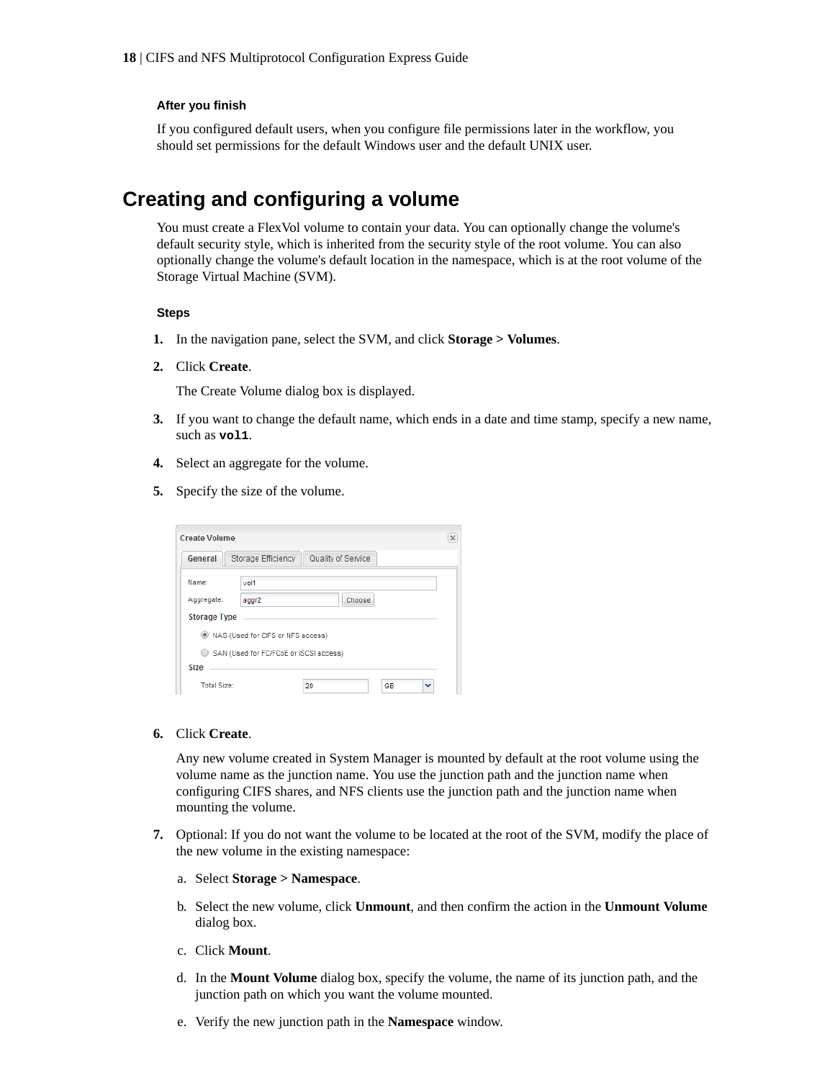#### <span id="page-17-0"></span>**After you finish**

If you configured default users, when you configure file permissions later in the workflow, you should set permissions for the default Windows user and the default UNIX user.

# **Creating and configuring a volume**

You must create a FlexVol volume to contain your data. You can optionally change the volume's default security style, which is inherited from the security style of the root volume. You can also optionally change the volume's default location in the namespace, which is at the root volume of the Storage Virtual Machine (SVM).

#### **Steps**

- **1.** In the navigation pane, select the SVM, and click **Storage > Volumes**.
- **2.** Click **Create**.

The Create Volume dialog box is displayed.

- **3.** If you want to change the default name, which ends in a date and time stamp, specify a new name, such as **vol1**.
- **4.** Select an aggregate for the volume.
- **5.** Specify the size of the volume.

| <b>Create Volume</b> |                                        |                    |                | $\times$ |
|----------------------|----------------------------------------|--------------------|----------------|----------|
| General              | Storage Efficiency                     | Quality of Service |                |          |
| Name:                | vol1                                   |                    |                |          |
| Aggregate:           | aggr2                                  | Choose             |                |          |
| <b>Storage Type</b>  |                                        |                    |                |          |
|                      | NAS (Used for CIFS or NFS access)      |                    |                |          |
|                      | SAN (Used for FC/FCoE or iSCSI access) |                    |                |          |
| Size                 |                                        |                    |                |          |
| Total Size:          |                                        | 20                 | <b>GB</b><br>v |          |

**6.** Click **Create**.

Any new volume created in System Manager is mounted by default at the root volume using the volume name as the junction name. You use the junction path and the junction name when configuring CIFS shares, and NFS clients use the junction path and the junction name when mounting the volume.

- **7.** Optional: If you do not want the volume to be located at the root of the SVM, modify the place of the new volume in the existing namespace:
	- a. Select **Storage > Namespace**.
	- b. Select the new volume, click **Unmount**, and then confirm the action in the **Unmount Volume** dialog box.
	- c. Click **Mount**.
	- d. In the **Mount Volume** dialog box, specify the volume, the name of its junction path, and the junction path on which you want the volume mounted.
	- e. Verify the new junction path in the **Namespace** window.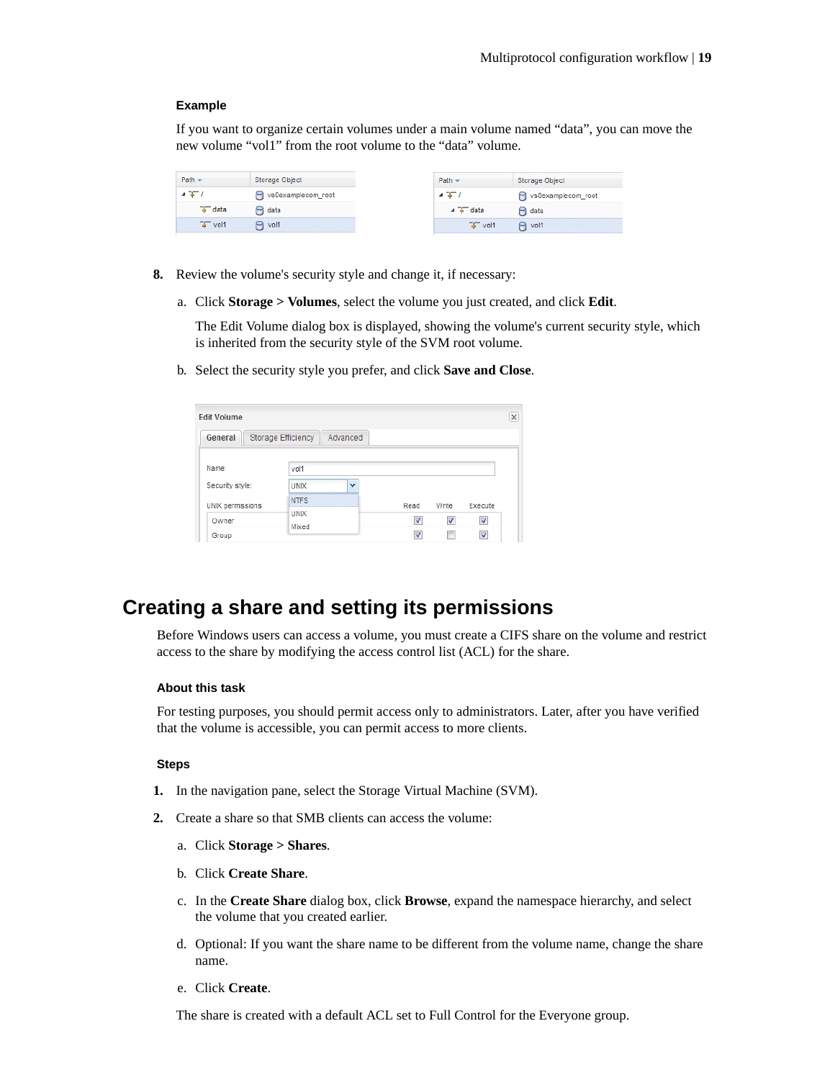#### <span id="page-18-0"></span>**Example**

If you want to organize certain volumes under a main volume named "data", you can move the new volume "vol1" from the root volume to the "data" volume.

|                   | Storage Object     | Path                | Storage Object     |
|-------------------|--------------------|---------------------|--------------------|
|                   | vs0examplecom_root |                     | vs0examplecom_root |
| <del>≩</del> data | data               | data                | $\Box$ data        |
| $T - \text{vol}$  | $P_1$ vol1         | $\overline{+}$ vol1 | $P_1$ vol1         |

- **8.** Review the volume's security style and change it, if necessary:
	- a. Click **Storage > Volumes**, select the volume you just created, and click **Edit**.

The Edit Volume dialog box is displayed, showing the volume's current security style, which is inherited from the security style of the SVM root volume.

b. Select the security style you prefer, and click **Save and Close**.

| <b>Edit Volume</b>      |                           |              |      |              |                         | $\times$ |
|-------------------------|---------------------------|--------------|------|--------------|-------------------------|----------|
| General                 | <b>Storage Efficiency</b> | Advanced     |      |              |                         |          |
| Name:                   | vol1                      |              |      |              |                         |          |
| Security style:         | <b>UNIX</b>               | $\checkmark$ |      |              |                         |          |
| <b>UNIX</b> permissions | <b>NTFS</b>               |              | Read | Write        | Execute                 |          |
| Owner                   | <b>UNIX</b><br>Mixed      |              |      | $\checkmark$ | $\overline{\mathsf{v}}$ |          |
| Group                   |                           |              | ⊽    |              |                         |          |

# **Creating a share and setting its permissions**

Before Windows users can access a volume, you must create a CIFS share on the volume and restrict access to the share by modifying the access control list (ACL) for the share.

#### **About this task**

For testing purposes, you should permit access only to administrators. Later, after you have verified that the volume is accessible, you can permit access to more clients.

#### **Steps**

- **1.** In the navigation pane, select the Storage Virtual Machine (SVM).
- **2.** Create a share so that SMB clients can access the volume:
	- a. Click **Storage > Shares**.
	- b. Click **Create Share**.
	- c. In the **Create Share** dialog box, click **Browse**, expand the namespace hierarchy, and select the volume that you created earlier.
	- d. Optional: If you want the share name to be different from the volume name, change the share name.
	- e. Click **Create**.

The share is created with a default ACL set to Full Control for the Everyone group.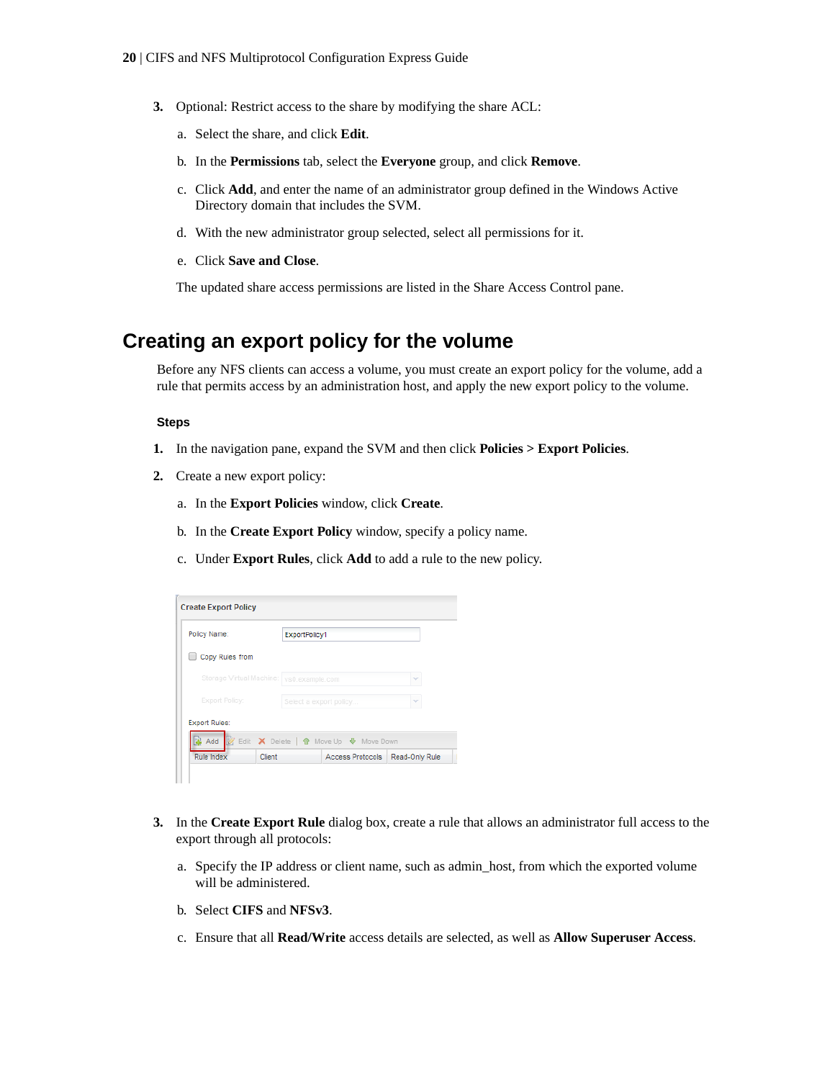- <span id="page-19-0"></span>**3.** Optional: Restrict access to the share by modifying the share ACL:
	- a. Select the share, and click **Edit**.
	- b. In the **Permissions** tab, select the **Everyone** group, and click **Remove**.
	- c. Click **Add**, and enter the name of an administrator group defined in the Windows Active Directory domain that includes the SVM.
	- d. With the new administrator group selected, select all permissions for it.
	- e. Click **Save and Close**.

The updated share access permissions are listed in the Share Access Control pane.

# **Creating an export policy for the volume**

Before any NFS clients can access a volume, you must create an export policy for the volume, add a rule that permits access by an administration host, and apply the new export policy to the volume.

#### **Steps**

- **1.** In the navigation pane, expand the SVM and then click **Policies > Export Policies**.
- **2.** Create a new export policy:
	- a. In the **Export Policies** window, click **Create**.
	- b. In the **Create Export Policy** window, specify a policy name.
	- c. Under **Export Rules**, click **Add** to add a rule to the new policy.

| Policy Name:             |        |                        | ExportPolicy1 |                                       |                |  |
|--------------------------|--------|------------------------|---------------|---------------------------------------|----------------|--|
| Copy Rules from          |        |                        |               |                                       |                |  |
| Storage Virtual Machine: |        | vs0.example.com        |               |                                       | w              |  |
| <b>Export Policy:</b>    |        | Select a export policy |               |                                       | w              |  |
| <b>Export Rules:</b>     |        |                        |               |                                       |                |  |
| Add                      |        |                        |               | Edit X Delete   n Move Up + Move Down |                |  |
| Rule Index               | Client |                        |               | Access Protocols                      | Read-Only Rule |  |

- **3.** In the **Create Export Rule** dialog box, create a rule that allows an administrator full access to the export through all protocols:
	- a. Specify the IP address or client name, such as admin\_host, from which the exported volume will be administered.
	- b. Select **CIFS** and **NFSv3**.
	- c. Ensure that all **Read/Write** access details are selected, as well as **Allow Superuser Access**.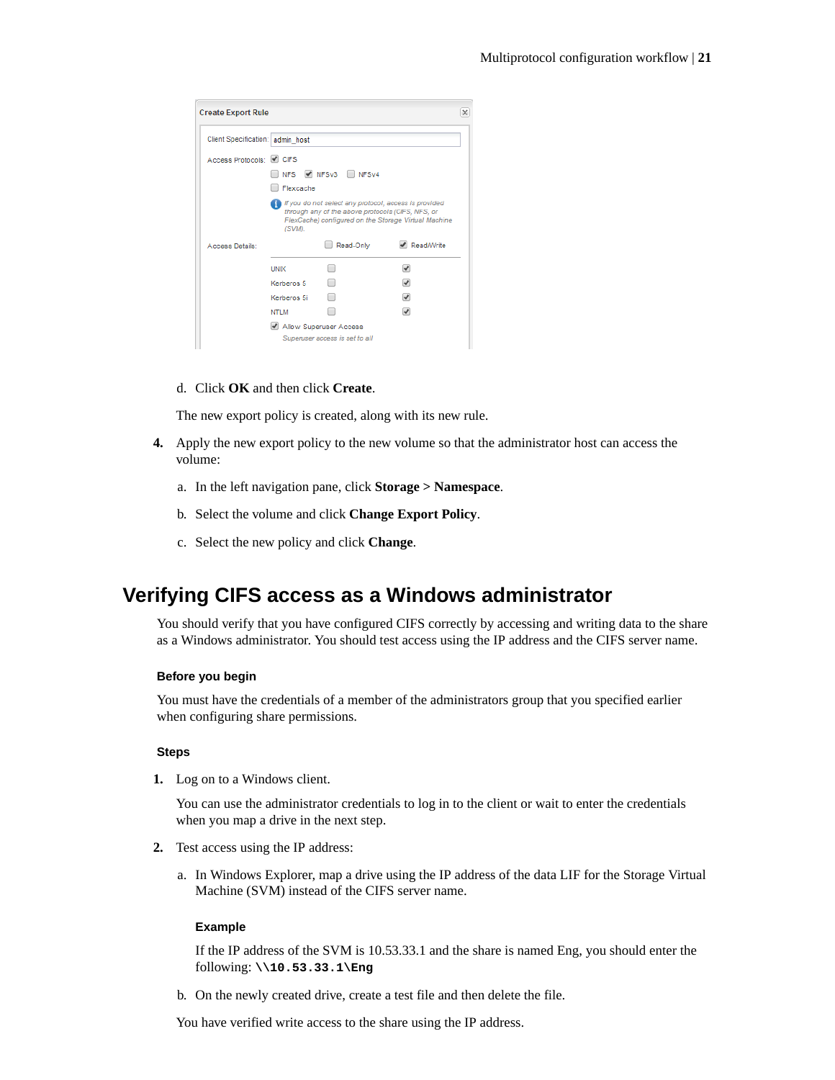<span id="page-20-0"></span>

| Client Specification:   admin_host |             |                                                                                                            |                                                                      |
|------------------------------------|-------------|------------------------------------------------------------------------------------------------------------|----------------------------------------------------------------------|
| Access Protocols: CIFS             |             |                                                                                                            |                                                                      |
|                                    |             | NFS ✔ NFSv3 NFSv4                                                                                          |                                                                      |
|                                    | Flexcache   |                                                                                                            |                                                                      |
|                                    |             | If you do not select any protocol, access is provided<br>through any of the above protocols (CIFS, NFS, or |                                                                      |
| Access Details:                    | (SVM).      | Read-Only                                                                                                  | FlexCache) configured on the Storage Virtual Machine<br>✔ Read/Write |
|                                    | <b>UNIX</b> |                                                                                                            |                                                                      |
|                                    | Kerberos 5  |                                                                                                            |                                                                      |
|                                    | Kerberos 5i |                                                                                                            | $\overline{\mathcal{L}}$                                             |

d. Click **OK** and then click **Create**.

The new export policy is created, along with its new rule.

- **4.** Apply the new export policy to the new volume so that the administrator host can access the volume:
	- a. In the left navigation pane, click **Storage > Namespace**.
	- b. Select the volume and click **Change Export Policy**.
	- c. Select the new policy and click **Change**.

# **Verifying CIFS access as a Windows administrator**

You should verify that you have configured CIFS correctly by accessing and writing data to the share as a Windows administrator. You should test access using the IP address and the CIFS server name.

#### **Before you begin**

You must have the credentials of a member of the administrators group that you specified earlier when configuring share permissions.

#### **Steps**

**1.** Log on to a Windows client.

You can use the administrator credentials to log in to the client or wait to enter the credentials when you map a drive in the next step.

- **2.** Test access using the IP address:
	- a. In Windows Explorer, map a drive using the IP address of the data LIF for the Storage Virtual Machine (SVM) instead of the CIFS server name.

#### **Example**

If the IP address of the SVM is 10.53.33.1 and the share is named Eng, you should enter the following: **\\10.53.33.1\Eng**

b. On the newly created drive, create a test file and then delete the file.

You have verified write access to the share using the IP address.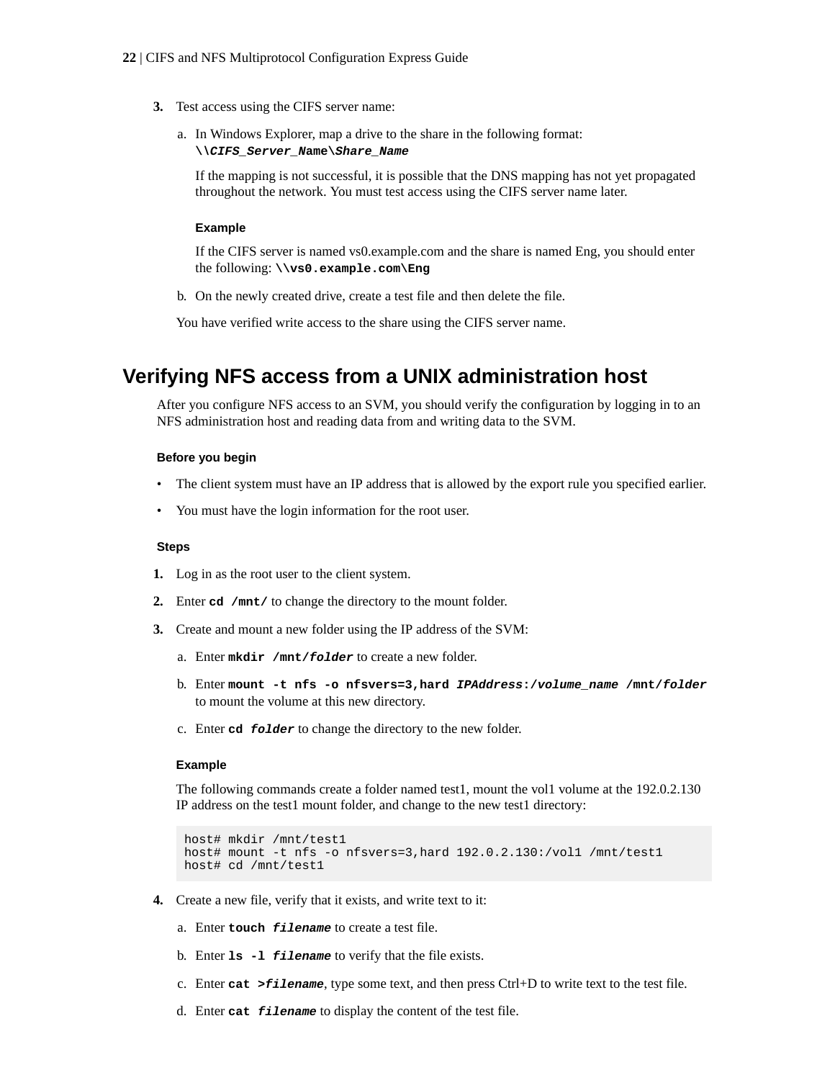- <span id="page-21-0"></span>**3.** Test access using the CIFS server name:
	- a. In Windows Explorer, map a drive to the share in the following format: **\\CIFS\_Server\_Name\Share\_Name**

If the mapping is not successful, it is possible that the DNS mapping has not yet propagated throughout the network. You must test access using the CIFS server name later.

#### **Example**

If the CIFS server is named vs0.example.com and the share is named Eng, you should enter the following: **\\vs0.example.com\Eng**

b. On the newly created drive, create a test file and then delete the file.

You have verified write access to the share using the CIFS server name.

# **Verifying NFS access from a UNIX administration host**

After you configure NFS access to an SVM, you should verify the configuration by logging in to an NFS administration host and reading data from and writing data to the SVM.

#### **Before you begin**

- The client system must have an IP address that is allowed by the export rule you specified earlier.
- You must have the login information for the root user.

#### **Steps**

- **1.** Log in as the root user to the client system.
- **2.** Enter **cd /mnt/** to change the directory to the mount folder.
- **3.** Create and mount a new folder using the IP address of the SVM:
	- a. Enter **mkdir /mnt/folder** to create a new folder.
	- b. Enter **mount -t nfs -o nfsvers=3,hard IPAddress:/volume\_name /mnt/folder** to mount the volume at this new directory.
	- c. Enter **cd folder** to change the directory to the new folder.

#### **Example**

The following commands create a folder named test1, mount the vol1 volume at the 192.0.2.130 IP address on the test1 mount folder, and change to the new test1 directory:

```
host# mkdir /mnt/test1
host# mount -t nfs -o nfsvers=3,hard 192.0.2.130:/vol1 /mnt/test1
host# cd /mnt/test1
```
- **4.** Create a new file, verify that it exists, and write text to it:
	- a. Enter **touch filename** to create a test file.
	- b. Enter **ls -l filename** to verify that the file exists.
	- c. Enter **cat >filename**, type some text, and then press Ctrl+D to write text to the test file.
	- d. Enter **cat filename** to display the content of the test file.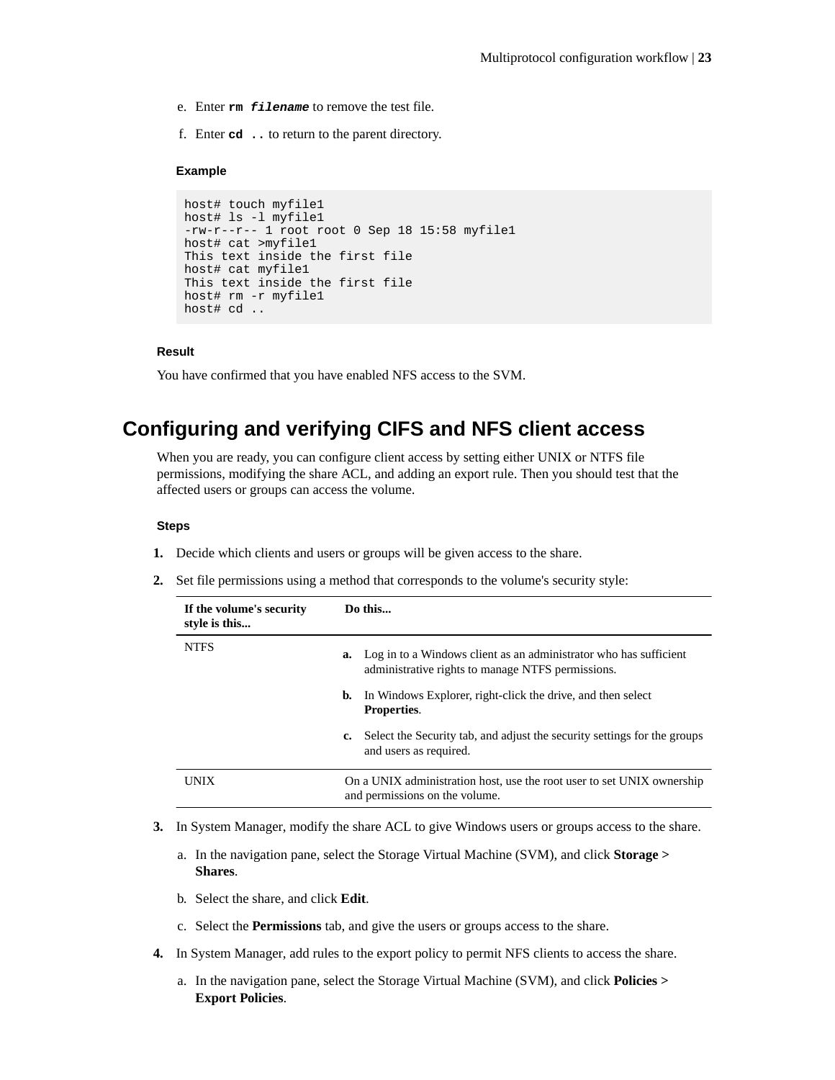- <span id="page-22-0"></span>e. Enter **rm filename** to remove the test file.
- f. Enter **cd ..** to return to the parent directory.

#### **Example**

```
host# touch myfile1
host# ls -l myfile1
-rw-r--r-- 1 root root 0 Sep 18 15:58 myfile1 
host# cat >myfile1
This text inside the first file 
host# cat myfile1
This text inside the first file 
host# rm -r myfile1
host# cd ..
```
#### **Result**

You have confirmed that you have enabled NFS access to the SVM.

# **Configuring and verifying CIFS and NFS client access**

When you are ready, you can configure client access by setting either UNIX or NTFS file permissions, modifying the share ACL, and adding an export rule. Then you should test that the affected users or groups can access the volume.

#### **Steps**

- **1.** Decide which clients and users or groups will be given access to the share.
- **2.** Set file permissions using a method that corresponds to the volume's security style:

| If the volume's security<br>style is this |    | Do this                                                                                                                |  |  |  |
|-------------------------------------------|----|------------------------------------------------------------------------------------------------------------------------|--|--|--|
| <b>NTFS</b>                               | a. | Log in to a Windows client as an administrator who has sufficient<br>administrative rights to manage NTFS permissions. |  |  |  |
|                                           | b. | In Windows Explorer, right-click the drive, and then select<br><b>Properties.</b>                                      |  |  |  |
|                                           | c. | Select the Security tab, and adjust the security settings for the groups<br>and users as required.                     |  |  |  |
| <b>UNIX</b>                               |    | On a UNIX administration host, use the root user to set UNIX ownership<br>and permissions on the volume.               |  |  |  |

- **3.** In System Manager, modify the share ACL to give Windows users or groups access to the share.
	- a. In the navigation pane, select the Storage Virtual Machine (SVM), and click **Storage > Shares**.
	- b. Select the share, and click **Edit**.
	- c. Select the **Permissions** tab, and give the users or groups access to the share.
- **4.** In System Manager, add rules to the export policy to permit NFS clients to access the share.
	- a. In the navigation pane, select the Storage Virtual Machine (SVM), and click **Policies > Export Policies**.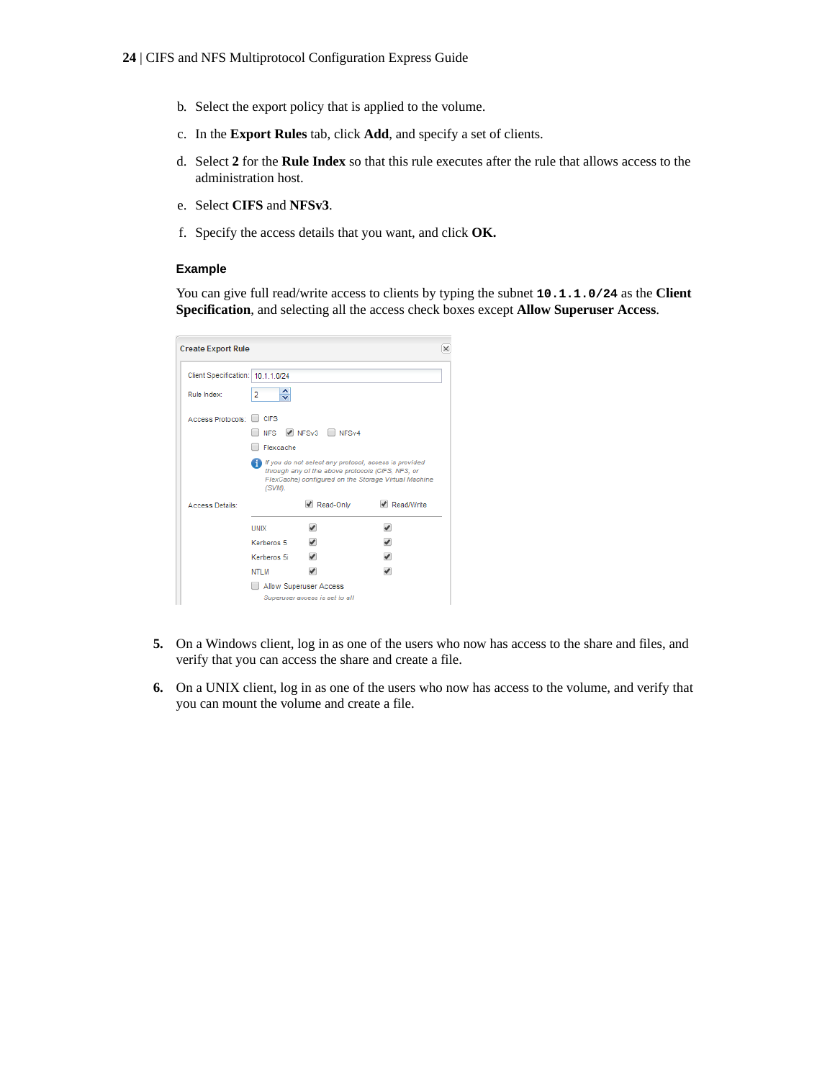- b. Select the export policy that is applied to the volume.
- c. In the **Export Rules** tab, click **Add**, and specify a set of clients.
- d. Select **2** for the **Rule Index** so that this rule executes after the rule that allows access to the administration host.
- e. Select **CIFS** and **NFSv3**.
- f. Specify the access details that you want, and click **OK.**

#### **Example**

You can give full read/write access to clients by typing the subnet **10.1.1.0/24** as the **Client Specification**, and selecting all the access check boxes except **Allow Superuser Access**.

| <b>Create Export Rule</b>         |                                                                                                                                                                                 |                                |                          | × |  |  |
|-----------------------------------|---------------------------------------------------------------------------------------------------------------------------------------------------------------------------------|--------------------------------|--------------------------|---|--|--|
| Client Specification: 10.1.1.0/24 |                                                                                                                                                                                 |                                |                          |   |  |  |
| Rule Index:                       | ≎<br>2                                                                                                                                                                          |                                |                          |   |  |  |
| Access Protocols:                 | <b>CIFS</b>                                                                                                                                                                     |                                |                          |   |  |  |
|                                   | <b>NFS</b>                                                                                                                                                                      | NFSv3 NFSv4                    |                          |   |  |  |
|                                   | Flexcache                                                                                                                                                                       |                                |                          |   |  |  |
|                                   | If If you do not select any protocol, access is provided<br>through any of the above protocols (CIFS, NFS, or<br>FlexCache) configured on the Storage Virtual Machine<br>(SVM). |                                |                          |   |  |  |
| Access Details:                   |                                                                                                                                                                                 | Read-Only                      | Read/Write               |   |  |  |
|                                   | <b>UNIX</b>                                                                                                                                                                     | ✔                              | ✔                        |   |  |  |
|                                   | Kerberos 5                                                                                                                                                                      | $\overline{\mathscr{L}}$       | $\blacktriangleright$    |   |  |  |
|                                   | Kerberos 5i                                                                                                                                                                     | $\overline{\mathscr{L}}$       | $\overline{\mathscr{I}}$ |   |  |  |
|                                   | NTI M                                                                                                                                                                           | $\overline{\mathscr{I}}$       | $\overline{\mathscr{I}}$ |   |  |  |
|                                   | Allow Superuser Access                                                                                                                                                          |                                |                          |   |  |  |
|                                   |                                                                                                                                                                                 | Superuser access is set to all |                          |   |  |  |

- **5.** On a Windows client, log in as one of the users who now has access to the share and files, and verify that you can access the share and create a file.
- **6.** On a UNIX client, log in as one of the users who now has access to the volume, and verify that you can mount the volume and create a file.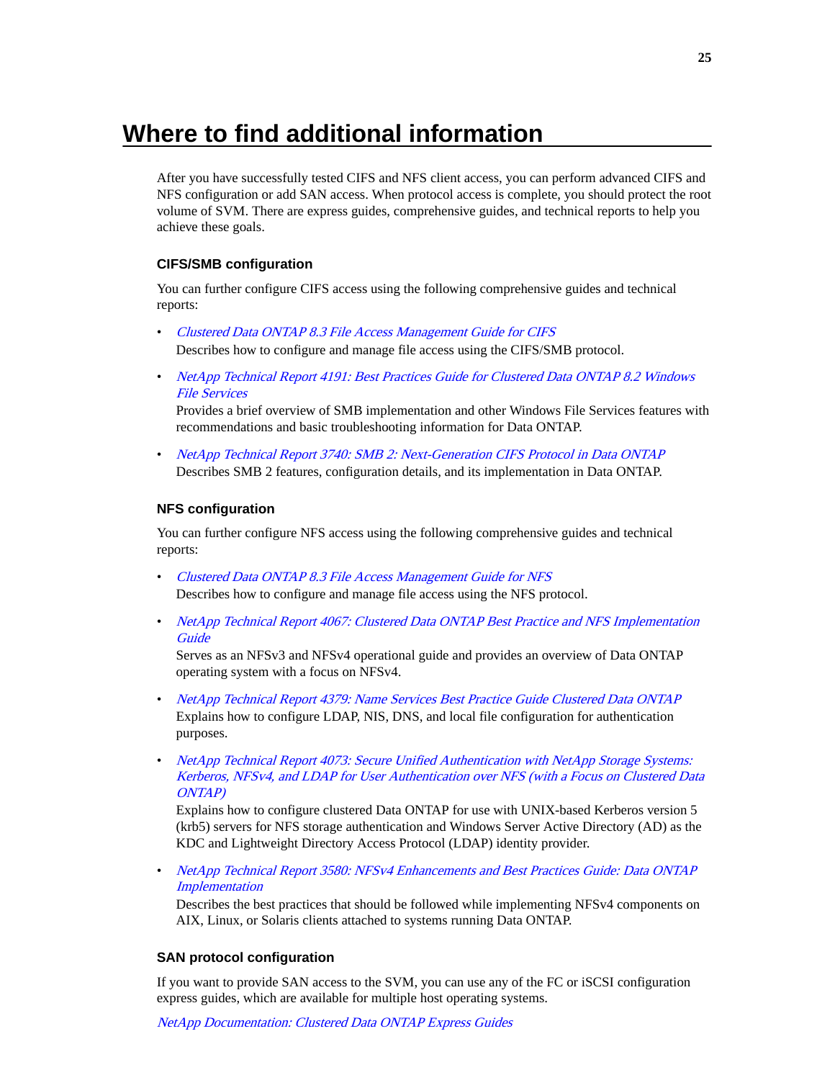# <span id="page-24-0"></span>**Where to find additional information**

After you have successfully tested CIFS and NFS client access, you can perform advanced CIFS and NFS configuration or add SAN access. When protocol access is complete, you should protect the root volume of SVM. There are express guides, comprehensive guides, and technical reports to help you achieve these goals.

### **CIFS/SMB configuration**

You can further configure CIFS access using the following comprehensive guides and technical reports:

- [Clustered Data ONTAP 8.3 File Access Management Guide for CIFS](https://library.netapp.com/ecm/ecm_download_file/ECMP1610207) Describes how to configure and manage file access using the CIFS/SMB protocol.
- [NetApp Technical Report 4191: Best Practices Guide for Clustered Data ONTAP 8.2 Windows](http://www.netapp.com/us/media/tr-4191.pdf) [File Services](http://www.netapp.com/us/media/tr-4191.pdf)

Provides a brief overview of SMB implementation and other Windows File Services features with recommendations and basic troubleshooting information for Data ONTAP.

• [NetApp Technical Report 3740: SMB 2: Next-Generation CIFS Protocol in Data ONTAP](http://www.netapp.com/us/media/tr-3740.pdf) Describes SMB 2 features, configuration details, and its implementation in Data ONTAP.

#### **NFS configuration**

You can further configure NFS access using the following comprehensive guides and technical reports:

- [Clustered Data ONTAP 8.3 File Access Management Guide for NFS](https://library.netapp.com/ecm/ecm_download_file/ECMP1610208) Describes how to configure and manage file access using the NFS protocol.
- [NetApp Technical Report 4067: Clustered Data ONTAP Best Practice and NFS Implementation](http://www.netapp.com/us/media/tr-4067.pdf) **[Guide](http://www.netapp.com/us/media/tr-4067.pdf)**

Serves as an NFSv3 and NFSv4 operational guide and provides an overview of Data ONTAP operating system with a focus on NFSv4.

- [NetApp Technical Report 4379: Name Services Best Practice Guide Clustered Data ONTAP](http://www.netapp.com/us/media/tr-4379.pdf) Explains how to configure LDAP, NIS, DNS, and local file configuration for authentication purposes.
- [NetApp Technical Report 4073: Secure Unified Authentication with NetApp Storage Systems:](http://www.netapp.com/us/media/tr-4073.pdf) [Kerberos, NFSv4, and LDAP for User Authentication over NFS \(with a Focus on Clustered Data](http://www.netapp.com/us/media/tr-4073.pdf) [ONTAP\)](http://www.netapp.com/us/media/tr-4073.pdf)

Explains how to configure clustered Data ONTAP for use with UNIX-based Kerberos version 5 (krb5) servers for NFS storage authentication and Windows Server Active Directory (AD) as the KDC and Lightweight Directory Access Protocol (LDAP) identity provider.

• [NetApp Technical Report 3580: NFSv4 Enhancements and Best Practices Guide: Data ONTAP](http://www.netapp.com/us/media/tr-3580.pdf) **[Implementation](http://www.netapp.com/us/media/tr-3580.pdf)** 

Describes the best practices that should be followed while implementing NFSv4 components on AIX, Linux, or Solaris clients attached to systems running Data ONTAP.

#### **SAN protocol configuration**

If you want to provide SAN access to the SVM, you can use any of the FC or iSCSI configuration express guides, which are available for multiple host operating systems.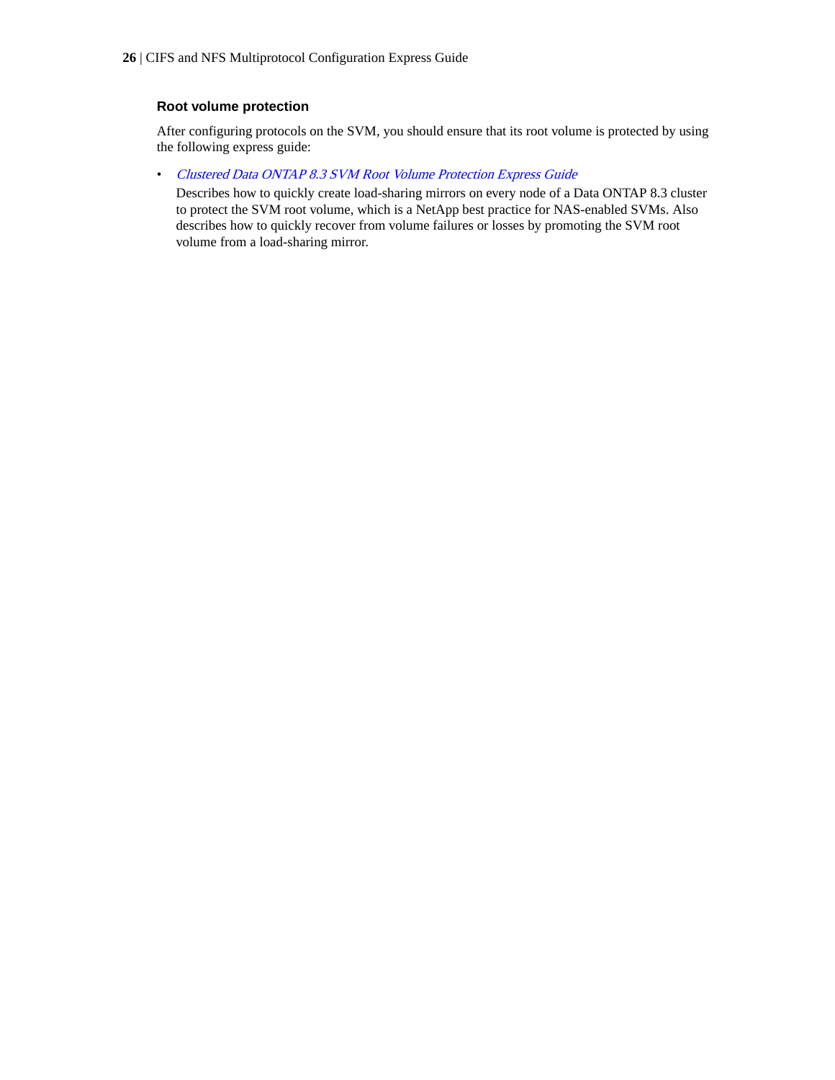### **Root volume protection**

After configuring protocols on the SVM, you should ensure that its root volume is protected by using the following express guide:

• [Clustered Data ONTAP 8.3 SVM Root Volume Protection Express Guide](https://library.netapp.com/ecm/ecm_download_file/ECMP1653502)

Describes how to quickly create load-sharing mirrors on every node of a Data ONTAP 8.3 cluster to protect the SVM root volume, which is a NetApp best practice for NAS-enabled SVMs. Also describes how to quickly recover from volume failures or losses by promoting the SVM root volume from a load-sharing mirror.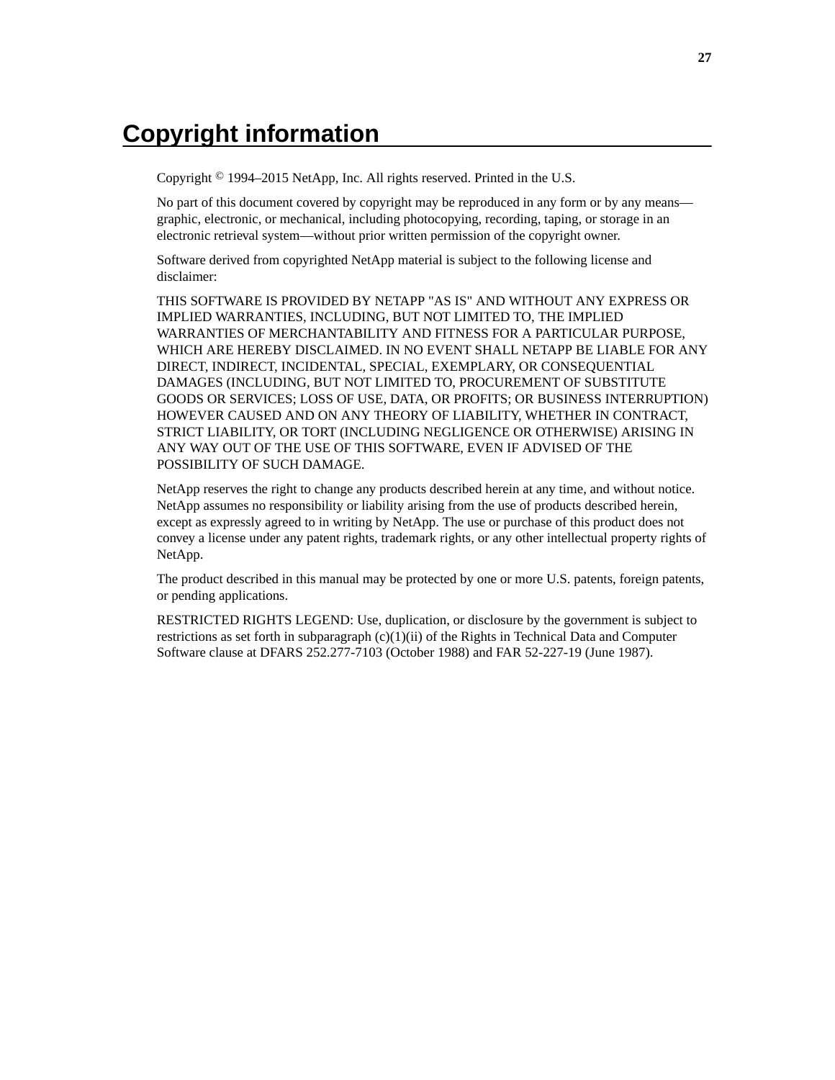# <span id="page-26-0"></span>**Copyright information**

Copyright © 1994–2015 NetApp, Inc. All rights reserved. Printed in the U.S.

No part of this document covered by copyright may be reproduced in any form or by any means graphic, electronic, or mechanical, including photocopying, recording, taping, or storage in an electronic retrieval system—without prior written permission of the copyright owner.

Software derived from copyrighted NetApp material is subject to the following license and disclaimer:

THIS SOFTWARE IS PROVIDED BY NETAPP "AS IS" AND WITHOUT ANY EXPRESS OR IMPLIED WARRANTIES, INCLUDING, BUT NOT LIMITED TO, THE IMPLIED WARRANTIES OF MERCHANTABILITY AND FITNESS FOR A PARTICULAR PURPOSE, WHICH ARE HEREBY DISCLAIMED. IN NO EVENT SHALL NETAPP BE LIABLE FOR ANY DIRECT, INDIRECT, INCIDENTAL, SPECIAL, EXEMPLARY, OR CONSEQUENTIAL DAMAGES (INCLUDING, BUT NOT LIMITED TO, PROCUREMENT OF SUBSTITUTE GOODS OR SERVICES; LOSS OF USE, DATA, OR PROFITS; OR BUSINESS INTERRUPTION) HOWEVER CAUSED AND ON ANY THEORY OF LIABILITY, WHETHER IN CONTRACT, STRICT LIABILITY, OR TORT (INCLUDING NEGLIGENCE OR OTHERWISE) ARISING IN ANY WAY OUT OF THE USE OF THIS SOFTWARE, EVEN IF ADVISED OF THE POSSIBILITY OF SUCH DAMAGE.

NetApp reserves the right to change any products described herein at any time, and without notice. NetApp assumes no responsibility or liability arising from the use of products described herein, except as expressly agreed to in writing by NetApp. The use or purchase of this product does not convey a license under any patent rights, trademark rights, or any other intellectual property rights of NetApp.

The product described in this manual may be protected by one or more U.S. patents, foreign patents, or pending applications.

RESTRICTED RIGHTS LEGEND: Use, duplication, or disclosure by the government is subject to restrictions as set forth in subparagraph  $(c)(1)(ii)$  of the Rights in Technical Data and Computer Software clause at DFARS 252.277-7103 (October 1988) and FAR 52-227-19 (June 1987).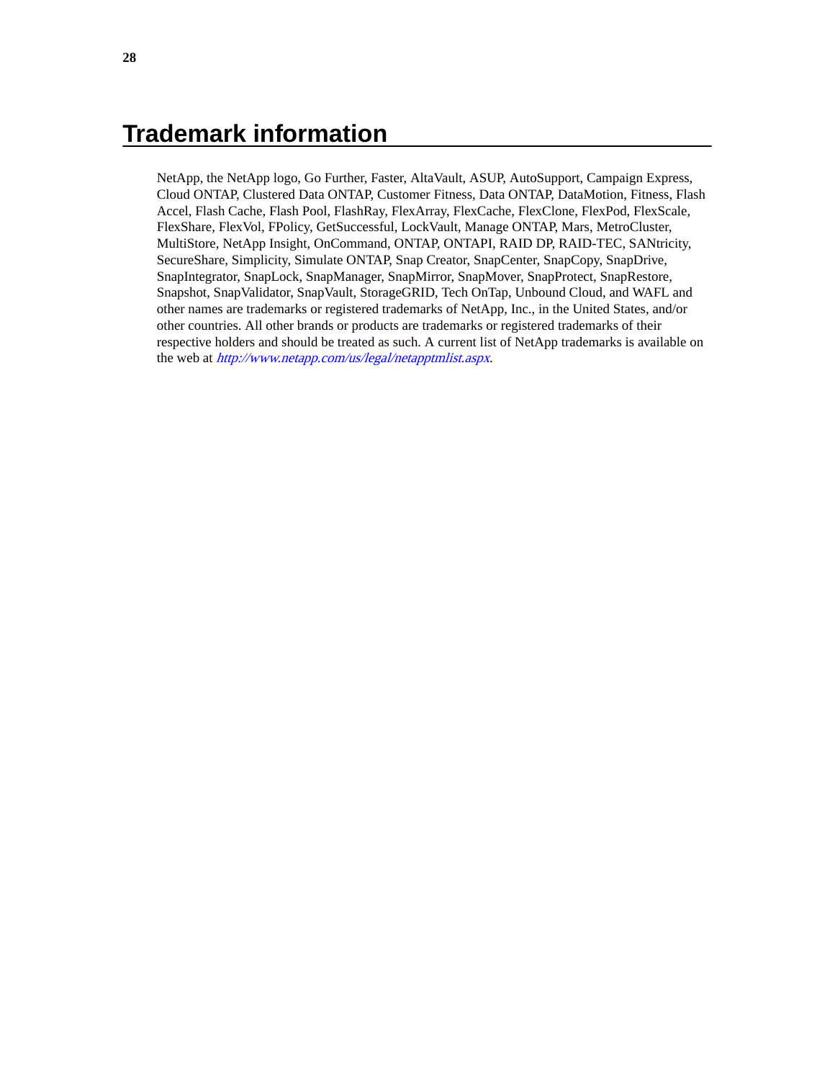# <span id="page-27-0"></span>**Trademark information**

NetApp, the NetApp logo, Go Further, Faster, AltaVault, ASUP, AutoSupport, Campaign Express, Cloud ONTAP, Clustered Data ONTAP, Customer Fitness, Data ONTAP, DataMotion, Fitness, Flash Accel, Flash Cache, Flash Pool, FlashRay, FlexArray, FlexCache, FlexClone, FlexPod, FlexScale, FlexShare, FlexVol, FPolicy, GetSuccessful, LockVault, Manage ONTAP, Mars, MetroCluster, MultiStore, NetApp Insight, OnCommand, ONTAP, ONTAPI, RAID DP, RAID-TEC, SANtricity, SecureShare, Simplicity, Simulate ONTAP, Snap Creator, SnapCenter, SnapCopy, SnapDrive, SnapIntegrator, SnapLock, SnapManager, SnapMirror, SnapMover, SnapProtect, SnapRestore, Snapshot, SnapValidator, SnapVault, StorageGRID, Tech OnTap, Unbound Cloud, and WAFL and other names are trademarks or registered trademarks of NetApp, Inc., in the United States, and/or other countries. All other brands or products are trademarks or registered trademarks of their respective holders and should be treated as such. A current list of NetApp trademarks is available on the web at <http://www.netapp.com/us/legal/netapptmlist.aspx>.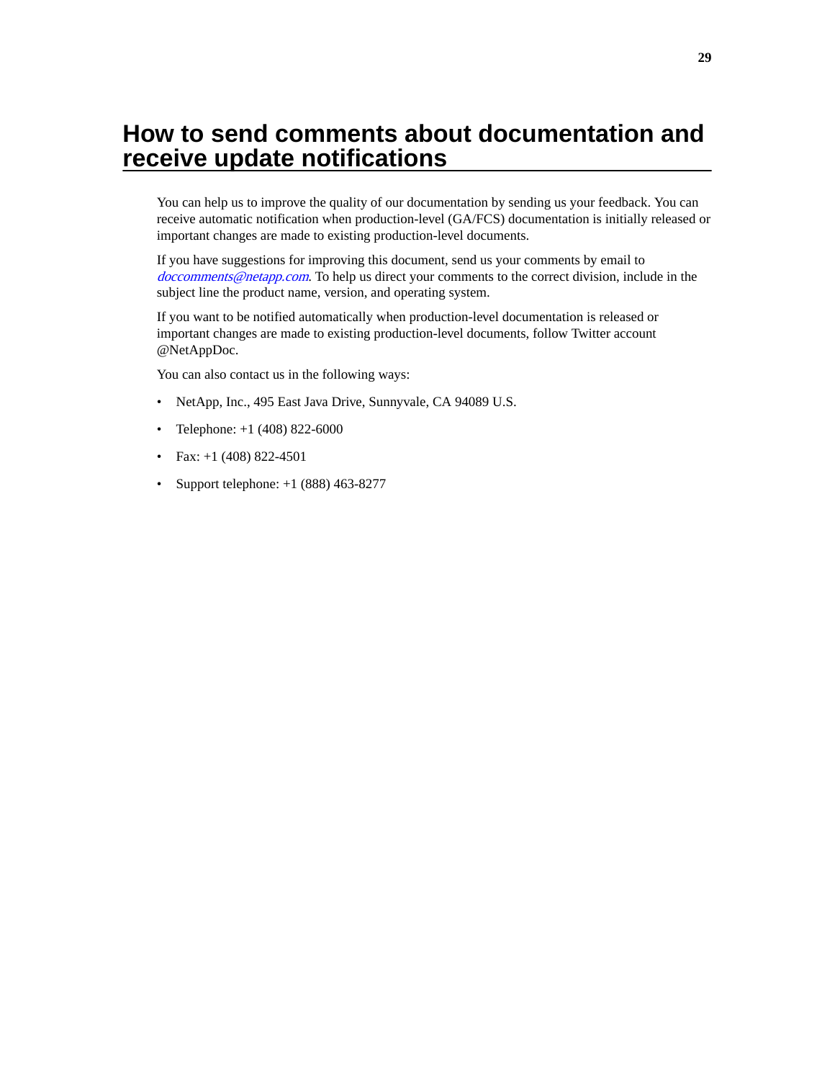# <span id="page-28-0"></span>**How to send comments about documentation and receive update notifications**

You can help us to improve the quality of our documentation by sending us your feedback. You can receive automatic notification when production-level (GA/FCS) documentation is initially released or important changes are made to existing production-level documents.

If you have suggestions for improving this document, send us your comments by email to [doccomments@netapp.com](mailto:doccomments@netapp.com). To help us direct your comments to the correct division, include in the subject line the product name, version, and operating system.

If you want to be notified automatically when production-level documentation is released or important changes are made to existing production-level documents, follow Twitter account @NetAppDoc.

You can also contact us in the following ways:

- NetApp, Inc., 495 East Java Drive, Sunnyvale, CA 94089 U.S.
- Telephone:  $+1$  (408) 822-6000
- Fax:  $+1$  (408) 822-4501
- Support telephone:  $+1$  (888) 463-8277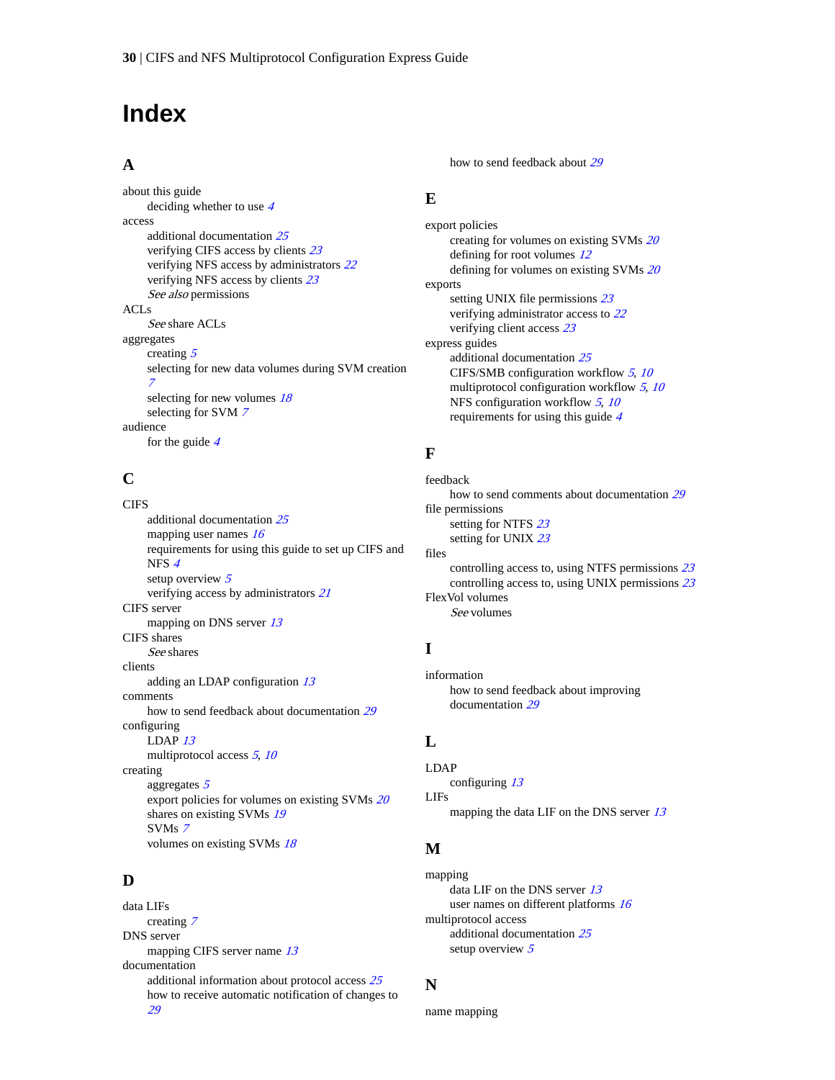# <span id="page-29-0"></span>**Index**

### **A**

about this guide deciding whether to use [4](#page-3-0) access additional documentation [25](#page-24-0) verifying CIFS access by clients [23](#page-22-0) verifying NFS access by administrators [22](#page-21-0) verifying NFS access by clients [23](#page-22-0) See also [permissions](#page-30-0) ACLs See [share ACLs](#page-30-0) aggregates creating [5](#page-4-0) selecting for new data volumes during SVM creation [7](#page-6-0) selecting for new volumes  $18$ selecting for SVM [7](#page-6-0) audience for the guide [4](#page-3-0)

## **C**

**CIFS** additional documentation [25](#page-24-0) mapping user names [16](#page-15-0) requirements for using this guide to set up CIFS and NFS [4](#page-3-0) setup overview [5](#page-4-0) verifying access by administrators [21](#page-20-0) CIFS server mapping on DNS server [13](#page-12-0) CIFS shares See [shares](#page-30-0) clients adding an LDAP configuration [13](#page-12-0) comments how to send feedback about documentation [29](#page-28-0) configuring LDAP [13](#page-12-0) multiprotocol access  $5, 10$  $5, 10$  $5, 10$ creating aggregates [5](#page-4-0) export policies for volumes on existing SVMs [20](#page-19-0) shares on existing SVMs [19](#page-18-0) SVMs [7](#page-6-0) volumes on existing SVMs [18](#page-17-0)

## **D**

data LIFs creating [7](#page-6-0) DNS server mapping CIFS server name [13](#page-12-0) documentation additional information about protocol access [25](#page-24-0) how to receive automatic notification of changes to [29](#page-28-0)

how to send feedback about [29](#page-28-0)

## **E**

export policies creating for volumes on existing SVMs [20](#page-19-0) defining for root volumes  $12$ defining for volumes on existing SVMs [20](#page-19-0) exports setting UNIX file permissions [23](#page-22-0) verifying administrator access to [22](#page-21-0) verifying client access [23](#page-22-0) express guides additional documentation [25](#page-24-0) CIFS/SMB configuration workflow  $5$ ,  $10$ multiprotocol configuration workflow  $5, 10$  $5, 10$  $5, 10$ NFS configuration workflow [5](#page-4-0), [10](#page-9-0) requirements for using this guide [4](#page-3-0)

## **F**

```
feedback
   29
file permissions
   23
   23
files
   controlling access to, using NTFS permissions 23
   controlling access to, using UNIX permissions 23
FlexVol volumes
   See volumes
```
## **I**

information how to send feedback about improving documentation [29](#page-28-0)

## **L**

LDAP configuring [13](#page-12-0) LIFs mapping the data LIF on the DNS server [13](#page-12-0)

## **M**

mapping data LIF on the DNS server [13](#page-12-0) user names on different platforms [16](#page-15-0) multiprotocol access additional documentation [25](#page-24-0) setup overview  $5$ 

## **N**

name mapping